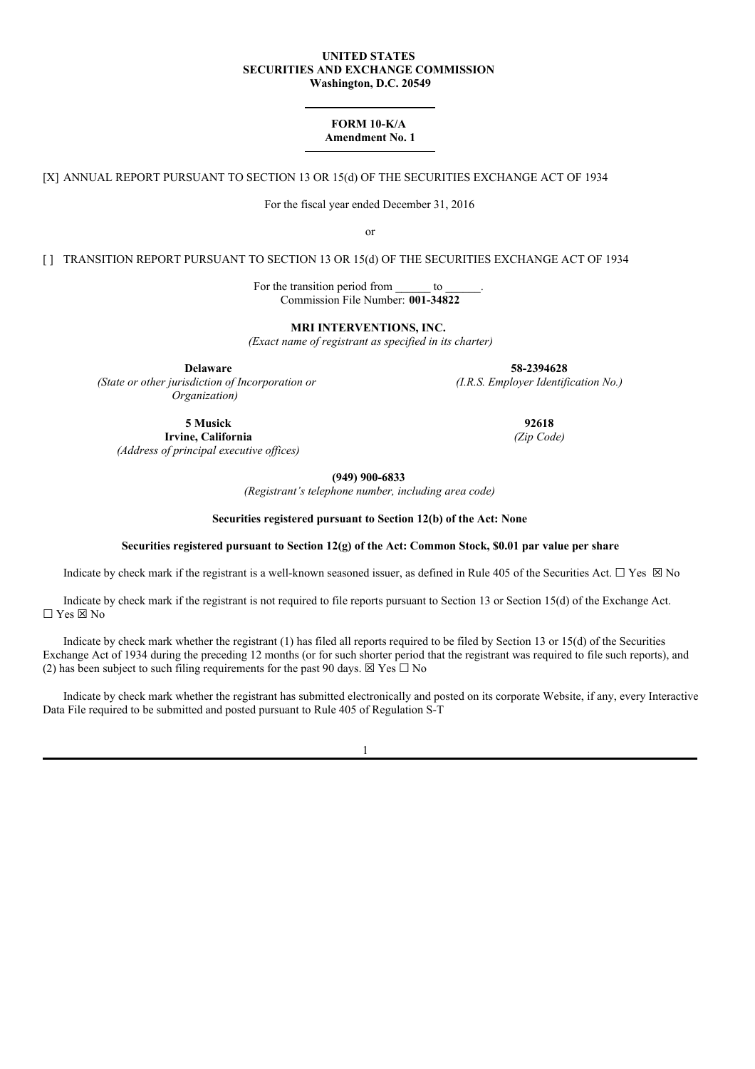#### **UNITED STATES SECURITIES AND EXCHANGE COMMISSION Washington, D.C. 20549**

# **FORM 10-K/A Amendment No. 1**

[X] ANNUAL REPORT PURSUANT TO SECTION 13 OR 15(d) OF THE SECURITIES EXCHANGE ACT OF 1934

For the fiscal year ended December 31, 2016

or

[ ] TRANSITION REPORT PURSUANT TO SECTION 13 OR 15(d) OF THE SECURITIES EXCHANGE ACT OF 1934

For the transition period from to Commission File Number: **001-34822**

**MRI INTERVENTIONS, INC.**

*(Exact name of registrant as specified in its charter)*

*(I.R.S. Employer Identification No.)*

**Delaware 58-2394628** *(State or other jurisdiction of Incorporation or Organization)*

> **5 Musick 92618 Irvine, California** *(Zip Code)*

*(Address of principal executive of ices)*

**(949) 900-6833**

*(Registrant's telephone number, including area code)*

### **Securities registered pursuant to Section 12(b) of the Act: None**

### **Securities registered pursuant to Section 12(g) of the Act: Common Stock, \$0.01 par value per share**

Indicate by check mark if the registrant is a well-known seasoned issuer, as defined in Rule 405 of the Securities Act.  $\Box$  Yes  $\boxtimes$  No

Indicate by check mark if the registrant is not required to file reports pursuant to Section 13 or Section 15(d) of the Exchange Act. ☐ Yes ☒ No

Indicate by check mark whether the registrant (1) has filed all reports required to be filed by Section 13 or 15(d) of the Securities Exchange Act of 1934 during the preceding 12 months (or for such shorter period that the registrant was required to file such reports), and (2) has been subject to such filing requirements for the past 90 days.  $\boxtimes$  Yes  $\Box$  No

Indicate by check mark whether the registrant has submitted electronically and posted on its corporate Website, if any, every Interactive Data File required to be submitted and posted pursuant to Rule 405 of Regulation S-T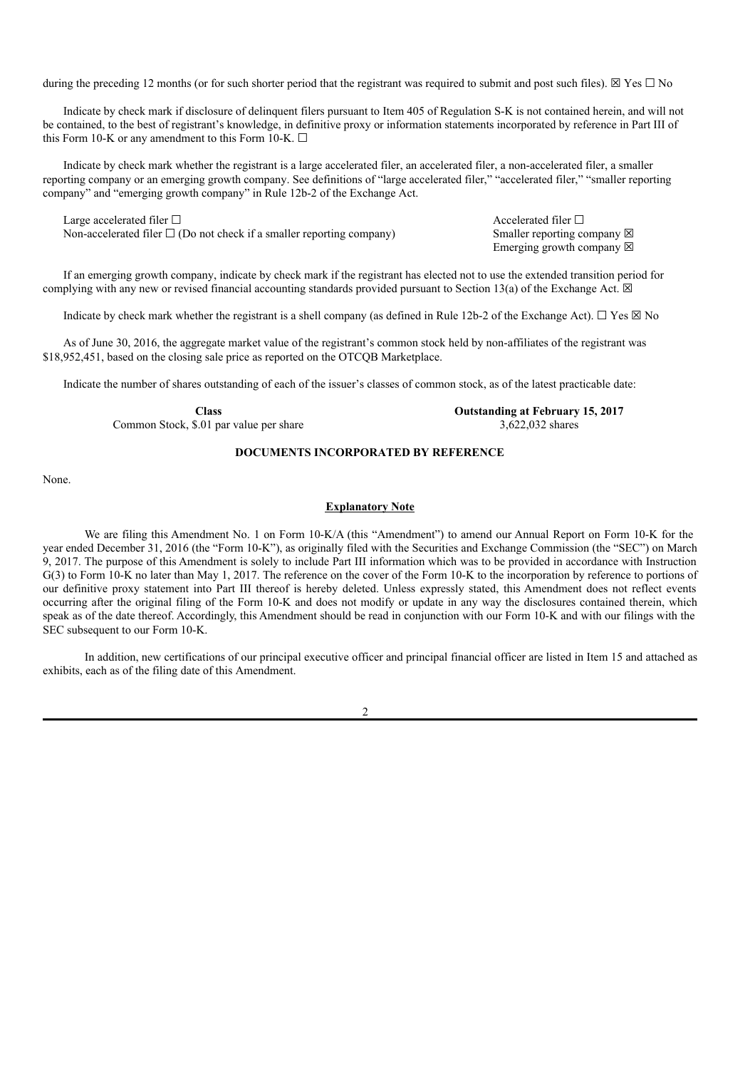during the preceding 12 months (or for such shorter period that the registrant was required to submit and post such files).  $\boxtimes$  Yes  $\Box$  No

Indicate by check mark if disclosure of delinquent filers pursuant to Item 405 of Regulation S-K is not contained herein, and will not be contained, to the best of registrant's knowledge, in definitive proxy or information statements incorporated by reference in Part III of this Form 10-K or any amendment to this Form 10-K.  $\Box$ 

Indicate by check mark whether the registrant is a large accelerated filer, an accelerated filer, a non-accelerated filer, a smaller reporting company or an emerging growth company. See definitions of "large accelerated filer," "accelerated filer," "smaller reporting company" and "emerging growth company" in Rule 12b-2 of the Exchange Act.

Large accelerated filer □ accelerated filer □ Non-accelerated filer  $\Box$  (Do not check if a smaller reporting company) Smaller reporting company  $\boxtimes$ 

Emerging growth company  $\boxtimes$ 

If an emerging growth company, indicate by check mark if the registrant has elected not to use the extended transition period for complying with any new or revised financial accounting standards provided pursuant to Section 13(a) of the Exchange Act.  $\boxtimes$ 

Indicate by check mark whether the registrant is a shell company (as defined in Rule 12b-2 of the Exchange Act).  $\Box$  Yes  $\boxtimes$  No

As of June 30, 2016, the aggregate market value of the registrant's common stock held by non-affiliates of the registrant was \$18,952,451, based on the closing sale price as reported on the OTCOB Marketplace.

Indicate the number of shares outstanding of each of the issuer's classes of common stock, as of the latest practicable date:

**Class Outstanding at February 15, 2017**

Common Stock, \$.01 par value per share 3,622,032 shares 3,622,032 shares

# **DOCUMENTS INCORPORATED BY REFERENCE**

None.

# **Explanatory Note**

We are filing this Amendment No. 1 on Form 10-K/A (this "Amendment") to amend our Annual Report on Form 10-K for the year ended December 31, 2016 (the "Form 10-K"), as originally filed with the Securities and Exchange Commission (the "SEC") on March 9, 2017. The purpose of this Amendment is solely to include Part III information which was to be provided in accordance with Instruction G(3) to Form 10-K no later than May 1, 2017. The reference on the cover of the Form 10-K to the incorporation by reference to portions of our definitive proxy statement into Part III thereof is hereby deleted. Unless expressly stated, this Amendment does not reflect events occurring after the original filing of the Form 10-K and does not modify or update in any way the disclosures contained therein, which speak as of the date thereof. Accordingly, this Amendment should be read in conjunction with our Form 10-K and with our filings with the SEC subsequent to our Form 10-K.

In addition, new certifications of our principal executive officer and principal financial officer are listed in Item 15 and attached as exhibits, each as of the filing date of this Amendment.

 $\mathcal{D}$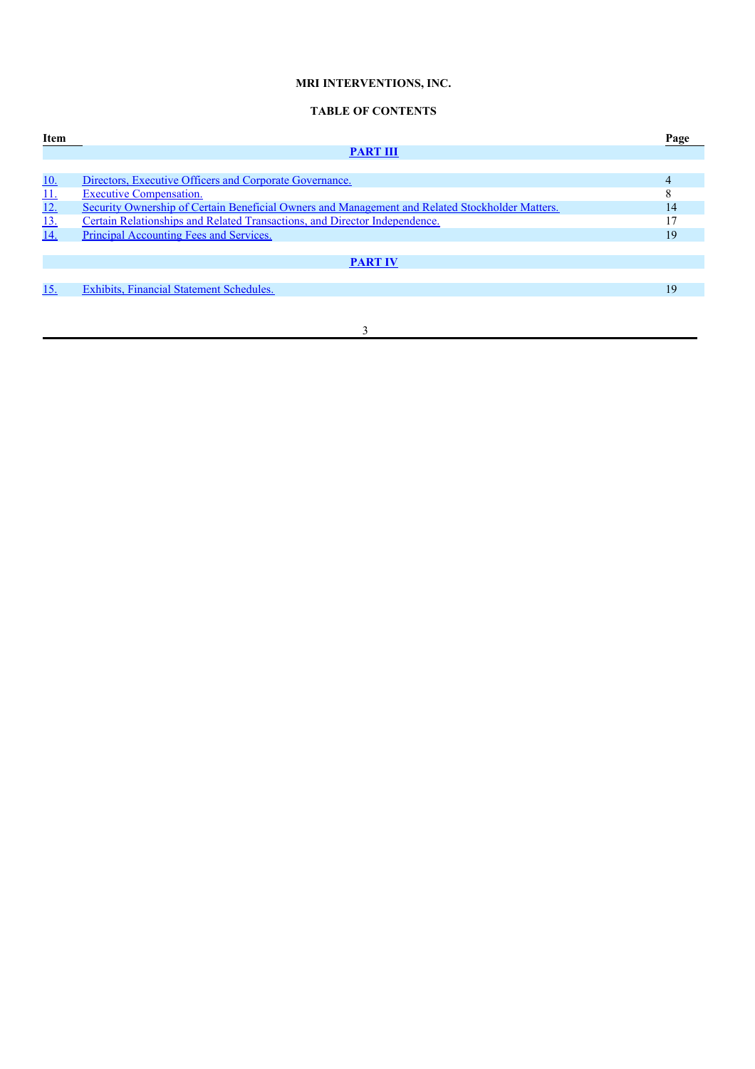# **MRI INTERVENTIONS, INC.**

# **TABLE OF CONTENTS**

| Item            |                                                                                                 | Page |
|-----------------|-------------------------------------------------------------------------------------------------|------|
|                 | <b>PART III</b>                                                                                 |      |
|                 |                                                                                                 |      |
| <u>10.</u>      | Directors, Executive Officers and Corporate Governance.                                         | 4    |
|                 | <b>Executive Compensation.</b>                                                                  | 8    |
| $\frac{11}{12}$ | Security Ownership of Certain Beneficial Owners and Management and Related Stockholder Matters. | 14   |
| $\frac{13}{14}$ | Certain Relationships and Related Transactions, and Director Independence.                      |      |
|                 | Principal Accounting Fees and Services.                                                         | 19   |
|                 |                                                                                                 |      |
|                 | <b>PART IV</b>                                                                                  |      |
|                 |                                                                                                 |      |
| 15.             | Exhibits, Financial Statement Schedules.                                                        | 19   |
|                 |                                                                                                 |      |
|                 |                                                                                                 |      |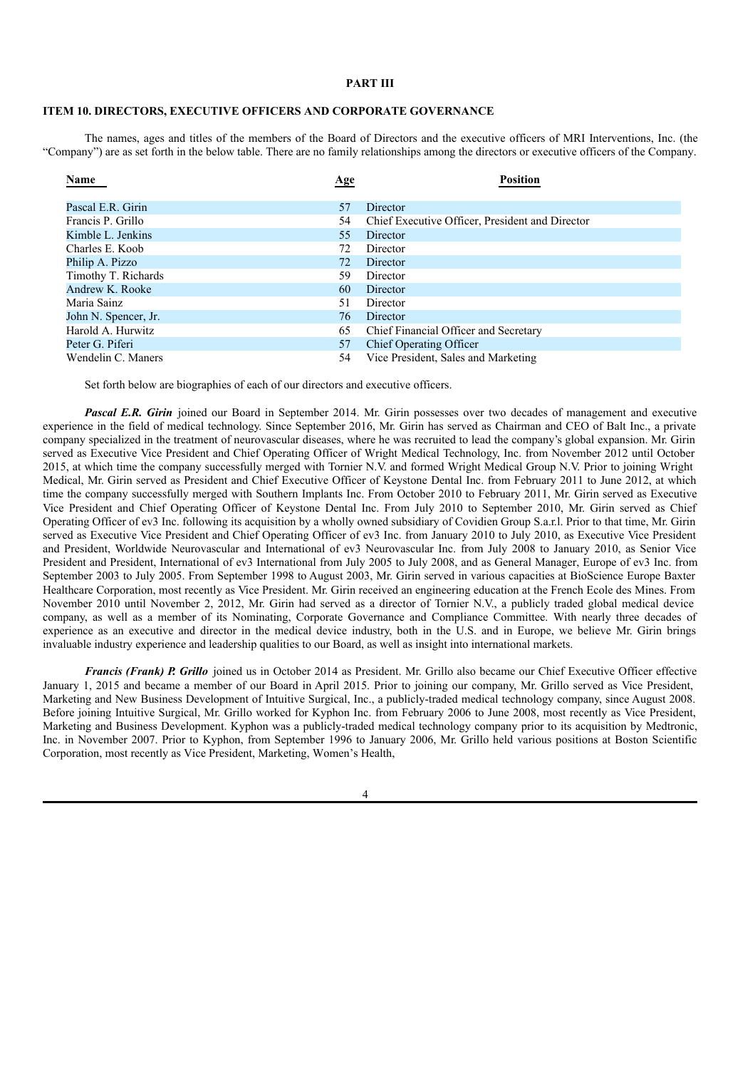# **PART III**

# **ITEM 10. DIRECTORS, EXECUTIVE OFFICERS AND CORPORATE GOVERNANCE**

The names, ages and titles of the members of the Board of Directors and the executive officers of MRI Interventions, Inc. (the "Company") are as set forth in the below table. There are no family relationships among the directors or executive officers of the Company.

| Name                 | <b>Age</b> | <b>Position</b>                                 |
|----------------------|------------|-------------------------------------------------|
| Pascal E.R. Girin    | 57         | Director                                        |
| Francis P. Grillo    | 54         | Chief Executive Officer, President and Director |
| Kimble L. Jenkins    | 55         | Director                                        |
| Charles E. Koob      | 72         | Director                                        |
| Philip A. Pizzo      | 72         | Director                                        |
| Timothy T. Richards  | 59.        | Director                                        |
| Andrew K. Rooke      | 60         | Director                                        |
| Maria Sainz          | 51         | Director                                        |
| John N. Spencer, Jr. | 76         | Director                                        |
| Harold A. Hurwitz    | 65         | Chief Financial Officer and Secretary           |
| Peter G. Piferi      | 57         | <b>Chief Operating Officer</b>                  |
| Wendelin C. Maners   | 54         | Vice President, Sales and Marketing             |

Set forth below are biographies of each of our directors and executive officers.

*Pascal E.R. Girin* joined our Board in September 2014. Mr. Girin possesses over two decades of management and executive experience in the field of medical technology. Since September 2016, Mr. Girin has served as Chairman and CEO of Balt Inc., a private company specialized in the treatment of neurovascular diseases, where he was recruited to lead the company's global expansion. Mr. Girin served as Executive Vice President and Chief Operating Officer of Wright Medical Technology, Inc. from November 2012 until October 2015, at which time the company successfully merged with Tornier N.V. and formed Wright Medical Group N.V. Prior to joining Wright Medical, Mr. Girin served as President and Chief Executive Officer of Keystone Dental Inc. from February 2011 to June 2012, at which time the company successfully merged with Southern Implants Inc. From October 2010 to February 2011, Mr. Girin served as Executive Vice President and Chief Operating Officer of Keystone Dental Inc. From July 2010 to September 2010, Mr. Girin served as Chief Operating Officer of ev3 Inc. following its acquisition by a wholly owned subsidiary of Covidien Group S.a.r.l. Prior to that time, Mr. Girin served as Executive Vice President and Chief Operating Officer of ev3 Inc. from January 2010 to July 2010, as Executive Vice President and President, Worldwide Neurovascular and International of ev3 Neurovascular Inc. from July 2008 to January 2010, as Senior Vice President and President, International of ev3 International from July 2005 to July 2008, and as General Manager, Europe of ev3 Inc. from September 2003 to July 2005. From September 1998 to August 2003, Mr. Girin served in various capacities at BioScience Europe Baxter Healthcare Corporation, most recently as Vice President. Mr. Girin received an engineering education at the French Ecole des Mines. From November 2010 until November 2, 2012, Mr. Girin had served as a director of Tornier N.V., a publicly traded global medical device company, as well as a member of its Nominating, Corporate Governance and Compliance Committee. With nearly three decades of experience as an executive and director in the medical device industry, both in the U.S. and in Europe, we believe Mr. Girin brings invaluable industry experience and leadership qualities to our Board, as well as insight into international markets.

*Francis (Frank) P. Grillo* joined us in October 2014 as President. Mr. Grillo also became our Chief Executive Officer effective January 1, 2015 and became a member of our Board in April 2015. Prior to joining our company, Mr. Grillo served as Vice President, Marketing and New Business Development of Intuitive Surgical, Inc., a publicly-traded medical technology company, since August 2008. Before joining Intuitive Surgical, Mr. Grillo worked for Kyphon Inc. from February 2006 to June 2008, most recently as Vice President, Marketing and Business Development. Kyphon was a publicly-traded medical technology company prior to its acquisition by Medtronic, Inc. in November 2007. Prior to Kyphon, from September 1996 to January 2006, Mr. Grillo held various positions at Boston Scientific Corporation, most recently as Vice President, Marketing, Women's Health,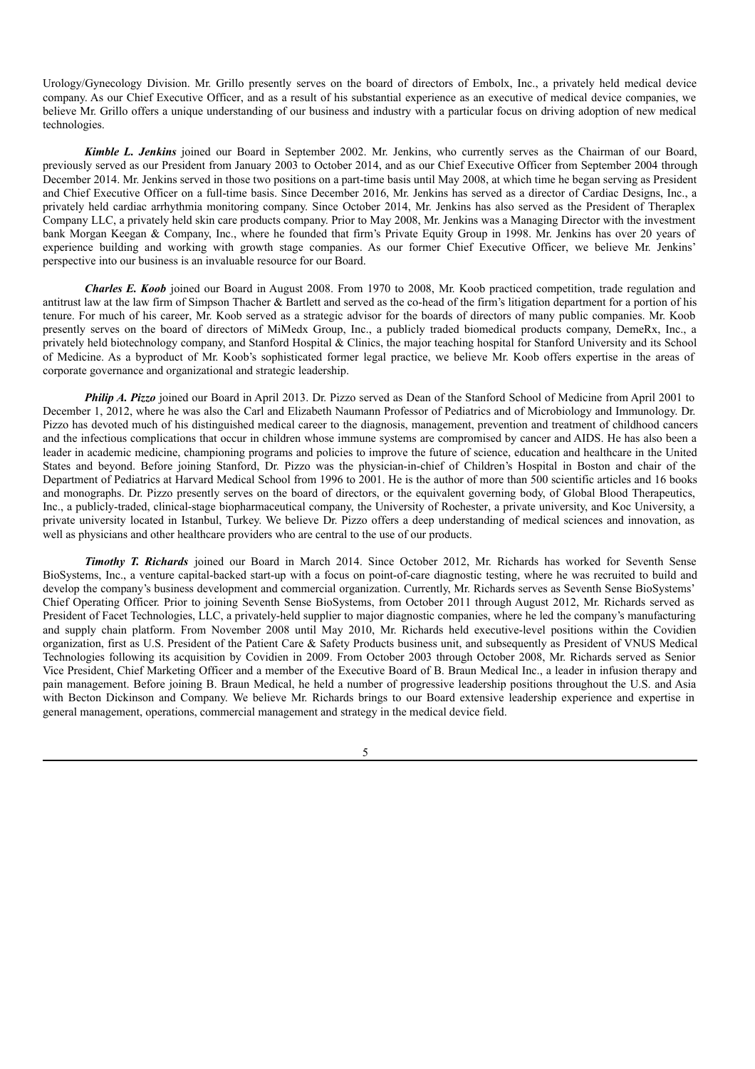Urology/Gynecology Division. Mr. Grillo presently serves on the board of directors of Embolx, Inc., a privately held medical device company. As our Chief Executive Officer, and as a result of his substantial experience as an executive of medical device companies, we believe Mr. Grillo offers a unique understanding of our business and industry with a particular focus on driving adoption of new medical technologies.

*Kimble L. Jenkins* joined our Board in September 2002. Mr. Jenkins, who currently serves as the Chairman of our Board, previously served as our President from January 2003 to October 2014, and as our Chief Executive Officer from September 2004 through December 2014. Mr. Jenkins served in those two positions on a part-time basis until May 2008, at which time he began serving as President and Chief Executive Officer on a full-time basis. Since December 2016, Mr. Jenkins has served as a director of Cardiac Designs, Inc., a privately held cardiac arrhythmia monitoring company. Since October 2014, Mr. Jenkins has also served as the President of Theraplex Company LLC, a privately held skin care products company. Prior to May 2008, Mr. Jenkins was a Managing Director with the investment bank Morgan Keegan & Company, Inc., where he founded that firm's Private Equity Group in 1998. Mr. Jenkins has over 20 years of experience building and working with growth stage companies. As our former Chief Executive Officer, we believe Mr. Jenkins' perspective into our business is an invaluable resource for our Board.

*Charles E. Koob* joined our Board in August 2008. From 1970 to 2008, Mr. Koob practiced competition, trade regulation and antitrust law at the law firm of Simpson Thacher & Bartlett and served as the co-head of the firm's litigation department for a portion of his tenure. For much of his career, Mr. Koob served as a strategic advisor for the boards of directors of many public companies. Mr. Koob presently serves on the board of directors of MiMedx Group, Inc., a publicly traded biomedical products company, DemeRx, Inc., a privately held biotechnology company, and Stanford Hospital & Clinics, the major teaching hospital for Stanford University and its School of Medicine. As a byproduct of Mr. Koob's sophisticated former legal practice, we believe Mr. Koob offers expertise in the areas of corporate governance and organizational and strategic leadership.

*Philip A. Pizzo* joined our Board in April 2013. Dr. Pizzo served as Dean of the Stanford School of Medicine from April 2001 to December 1, 2012, where he was also the Carl and Elizabeth Naumann Professor of Pediatrics and of Microbiology and Immunology. Dr. Pizzo has devoted much of his distinguished medical career to the diagnosis, management, prevention and treatment of childhood cancers and the infectious complications that occur in children whose immune systems are compromised by cancer and AIDS. He has also been a leader in academic medicine, championing programs and policies to improve the future of science, education and healthcare in the United States and beyond. Before joining Stanford, Dr. Pizzo was the physician-in-chief of Children's Hospital in Boston and chair of the Department of Pediatrics at Harvard Medical School from 1996 to 2001. He is the author of more than 500 scientific articles and 16 books and monographs. Dr. Pizzo presently serves on the board of directors, or the equivalent governing body, of Global Blood Therapeutics, Inc., a publicly-traded, clinical-stage biopharmaceutical company, the University of Rochester, a private university, and Koc University, a private university located in Istanbul, Turkey. We believe Dr. Pizzo offers a deep understanding of medical sciences and innovation, as well as physicians and other healthcare providers who are central to the use of our products.

*Timothy T. Richards* joined our Board in March 2014. Since October 2012, Mr. Richards has worked for Seventh Sense BioSystems, Inc., a venture capital-backed start-up with a focus on point-of-care diagnostic testing, where he was recruited to build and develop the company's business development and commercial organization. Currently, Mr. Richards serves as Seventh Sense BioSystems' Chief Operating Officer. Prior to joining Seventh Sense BioSystems, from October 2011 through August 2012, Mr. Richards served as President of Facet Technologies, LLC, a privately-held supplier to major diagnostic companies, where he led the company's manufacturing and supply chain platform. From November 2008 until May 2010, Mr. Richards held executive-level positions within the Covidien organization, first as U.S. President of the Patient Care & Safety Products business unit, and subsequently as President of VNUS Medical Technologies following its acquisition by Covidien in 2009. From October 2003 through October 2008, Mr. Richards served as Senior Vice President, Chief Marketing Officer and a member of the Executive Board of B. Braun Medical Inc., a leader in infusion therapy and pain management. Before joining B. Braun Medical, he held a number of progressive leadership positions throughout the U.S. and Asia with Becton Dickinson and Company. We believe Mr. Richards brings to our Board extensive leadership experience and expertise in general management, operations, commercial management and strategy in the medical device field.

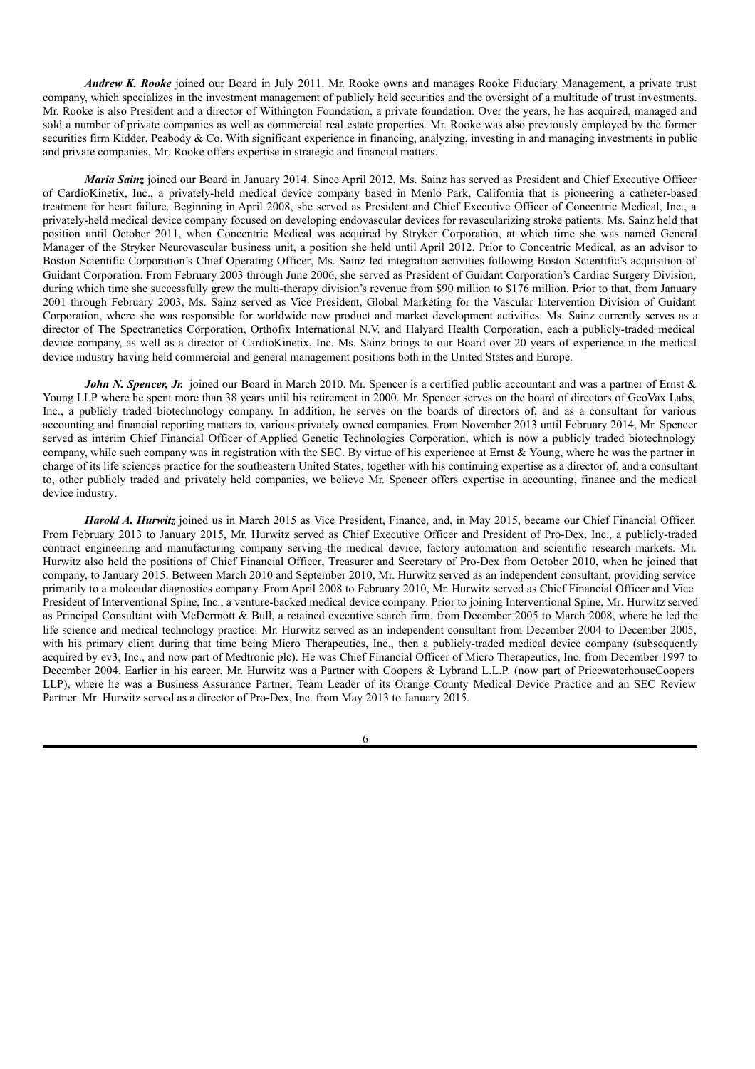*Andrew K. Rooke* joined our Board in July 2011. Mr. Rooke owns and manages Rooke Fiduciary Management, a private trust company, which specializes in the investment management of publicly held securities and the oversight of a multitude of trust investments. Mr. Rooke is also President and a director of Withington Foundation, a private foundation. Over the years, he has acquired, managed and sold a number of private companies as well as commercial real estate properties. Mr. Rooke was also previously employed by the former securities firm Kidder, Peabody & Co. With significant experience in financing, analyzing, investing in and managing investments in public and private companies, Mr. Rooke offers expertise in strategic and financial matters.

*Maria Sainz* joined our Board in January 2014. Since April 2012, Ms. Sainz has served as President and Chief Executive Officer of CardioKinetix, Inc., a privately-held medical device company based in Menlo Park, California that is pioneering a catheter-based treatment for heart failure. Beginning in April 2008, she served as President and Chief Executive Officer of Concentric Medical, Inc., a privately-held medical device company focused on developing endovascular devices for revascularizing stroke patients. Ms. Sainz held that position until October 2011, when Concentric Medical was acquired by Stryker Corporation, at which time she was named General Manager of the Stryker Neurovascular business unit, a position she held until April 2012. Prior to Concentric Medical, as an advisor to Boston Scientific Corporation's Chief Operating Officer, Ms. Sainz led integration activities following Boston Scientific's acquisition of Guidant Corporation. From February 2003 through June 2006, she served as President of Guidant Corporation's Cardiac Surgery Division, during which time she successfully grew the multi-therapy division's revenue from \$90 million to \$176 million. Prior to that, from January 2001 through February 2003, Ms. Sainz served as Vice President, Global Marketing for the Vascular Intervention Division of Guidant Corporation, where she was responsible for worldwide new product and market development activities. Ms. Sainz currently serves as a director of The Spectranetics Corporation, Orthofix International N.V. and Halyard Health Corporation, each a publicly-traded medical device company, as well as a director of CardioKinetix, Inc. Ms. Sainz brings to our Board over 20 years of experience in the medical device industry having held commercial and general management positions both in the United States and Europe.

*John N. Spencer, Jr.* joined our Board in March 2010. Mr. Spencer is a certified public accountant and was a partner of Ernst & Young LLP where he spent more than 38 years until his retirement in 2000. Mr. Spencer serves on the board of directors of GeoVax Labs, Inc., a publicly traded biotechnology company. In addition, he serves on the boards of directors of, and as a consultant for various accounting and financial reporting matters to, various privately owned companies. From November 2013 until February 2014, Mr. Spencer served as interim Chief Financial Officer of Applied Genetic Technologies Corporation, which is now a publicly traded biotechnology company, while such company was in registration with the SEC. By virtue of his experience at Ernst & Young, where he was the partner in charge of its life sciences practice for the southeastern United States, together with his continuing expertise as a director of, and a consultant to, other publicly traded and privately held companies, we believe Mr. Spencer offers expertise in accounting, finance and the medical device industry.

*Harold A. Hurwitz* joined us in March 2015 as Vice President, Finance, and, in May 2015, became our Chief Financial Officer. From February 2013 to January 2015, Mr. Hurwitz served as Chief Executive Officer and President of Pro-Dex, Inc., a publicly-traded contract engineering and manufacturing company serving the medical device, factory automation and scientific research markets. Mr. Hurwitz also held the positions of Chief Financial Officer, Treasurer and Secretary of Pro-Dex from October 2010, when he joined that company, to January 2015. Between March 2010 and September 2010, Mr. Hurwitz served as an independent consultant, providing service primarily to a molecular diagnostics company. From April 2008 to February 2010, Mr. Hurwitz served as Chief Financial Officer and Vice President of Interventional Spine, Inc., a venture-backed medical device company. Prior to joining Interventional Spine, Mr. Hurwitz served as Principal Consultant with McDermott & Bull, a retained executive search firm, from December 2005 to March 2008, where he led the life science and medical technology practice. Mr. Hurwitz served as an independent consultant from December 2004 to December 2005, with his primary client during that time being Micro Therapeutics, Inc., then a publicly-traded medical device company (subsequently acquired by ev3, Inc., and now part of Medtronic plc). He was Chief Financial Officer of Micro Therapeutics, Inc. from December 1997 to December 2004. Earlier in his career, Mr. Hurwitz was a Partner with Coopers & Lybrand L.L.P. (now part of PricewaterhouseCoopers LLP), where he was a Business Assurance Partner, Team Leader of its Orange County Medical Device Practice and an SEC Review Partner. Mr. Hurwitz served as a director of Pro-Dex, Inc. from May 2013 to January 2015.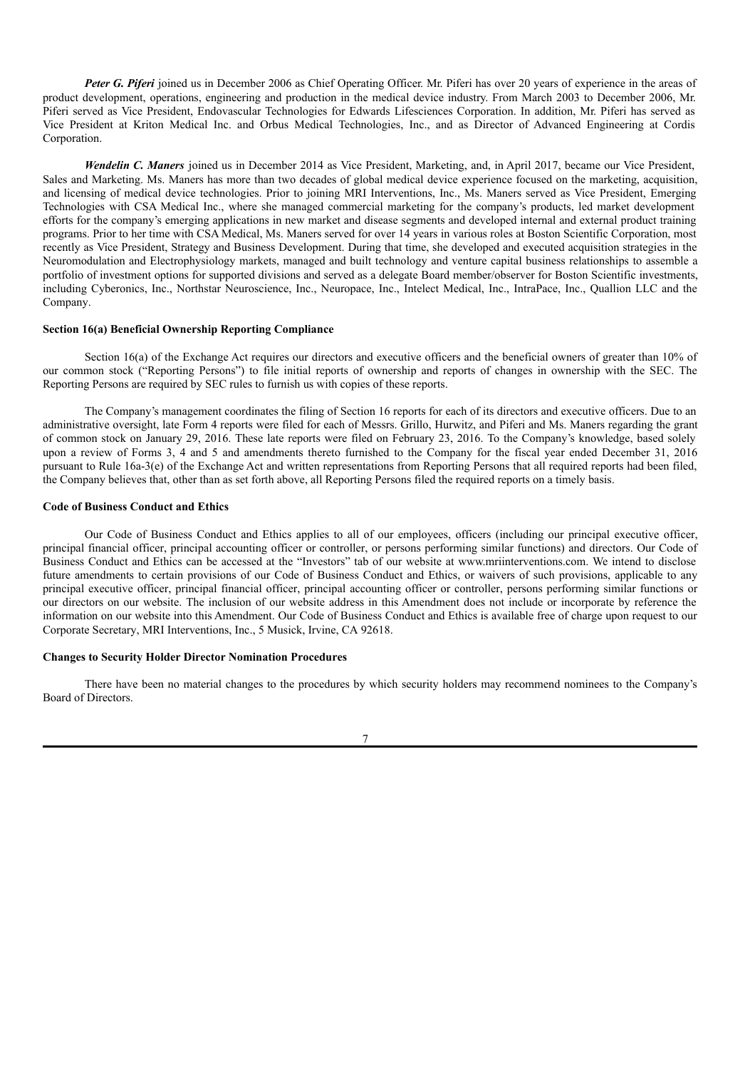*Peter G. Piferi* joined us in December 2006 as Chief Operating Officer. Mr. Piferi has over 20 years of experience in the areas of product development, operations, engineering and production in the medical device industry. From March 2003 to December 2006, Mr. Piferi served as Vice President, Endovascular Technologies for Edwards Lifesciences Corporation. In addition, Mr. Piferi has served as Vice President at Kriton Medical Inc. and Orbus Medical Technologies, Inc., and as Director of Advanced Engineering at Cordis Corporation.

*Wendelin C. Maners* joined us in December 2014 as Vice President, Marketing, and, in April 2017, became our Vice President, Sales and Marketing. Ms. Maners has more than two decades of global medical device experience focused on the marketing, acquisition, and licensing of medical device technologies. Prior to joining MRI Interventions, Inc., Ms. Maners served as Vice President, Emerging Technologies with CSA Medical Inc., where she managed commercial marketing for the company's products, led market development efforts for the company's emerging applications in new market and disease segments and developed internal and external product training programs. Prior to her time with CSA Medical, Ms. Maners served for over 14 years in various roles at Boston Scientific Corporation, most recently as Vice President, Strategy and Business Development. During that time, she developed and executed acquisition strategies in the Neuromodulation and Electrophysiology markets, managed and built technology and venture capital business relationships to assemble a portfolio of investment options for supported divisions and served as a delegate Board member/observer for Boston Scientific investments, including Cyberonics, Inc., Northstar Neuroscience, Inc., Neuropace, Inc., Intelect Medical, Inc., IntraPace, Inc., Quallion LLC and the Company.

# **Section 16(a) Beneficial Ownership Reporting Compliance**

Section 16(a) of the Exchange Act requires our directors and executive officers and the beneficial owners of greater than 10% of our common stock ("Reporting Persons") to file initial reports of ownership and reports of changes in ownership with the SEC. The Reporting Persons are required by SEC rules to furnish us with copies of these reports.

The Company's management coordinates the filing of Section 16 reports for each of its directors and executive officers. Due to an administrative oversight, late Form 4 reports were filed for each of Messrs. Grillo, Hurwitz, and Piferi and Ms. Maners regarding the grant of common stock on January 29, 2016. These late reports were filed on February 23, 2016. To the Company's knowledge, based solely upon a review of Forms 3, 4 and 5 and amendments thereto furnished to the Company for the fiscal year ended December 31, 2016 pursuant to Rule 16a-3(e) of the Exchange Act and written representations from Reporting Persons that all required reports had been filed, the Company believes that, other than as set forth above, all Reporting Persons filed the required reports on a timely basis.

## **Code of Business Conduct and Ethics**

Our Code of Business Conduct and Ethics applies to all of our employees, officers (including our principal executive officer, principal financial officer, principal accounting officer or controller, or persons performing similar functions) and directors. Our Code of Business Conduct and Ethics can be accessed at the "Investors" tab of our website at www.mriinterventions.com. We intend to disclose future amendments to certain provisions of our Code of Business Conduct and Ethics, or waivers of such provisions, applicable to any principal executive officer, principal financial officer, principal accounting officer or controller, persons performing similar functions or our directors on our website. The inclusion of our website address in this Amendment does not include or incorporate by reference the information on our website into this Amendment. Our Code of Business Conduct and Ethics is available free of charge upon request to our Corporate Secretary, MRI Interventions, Inc., 5 Musick, Irvine, CA 92618.

#### **Changes to Security Holder Director Nomination Procedures**

There have been no material changes to the procedures by which security holders may recommend nominees to the Company's Board of Directors.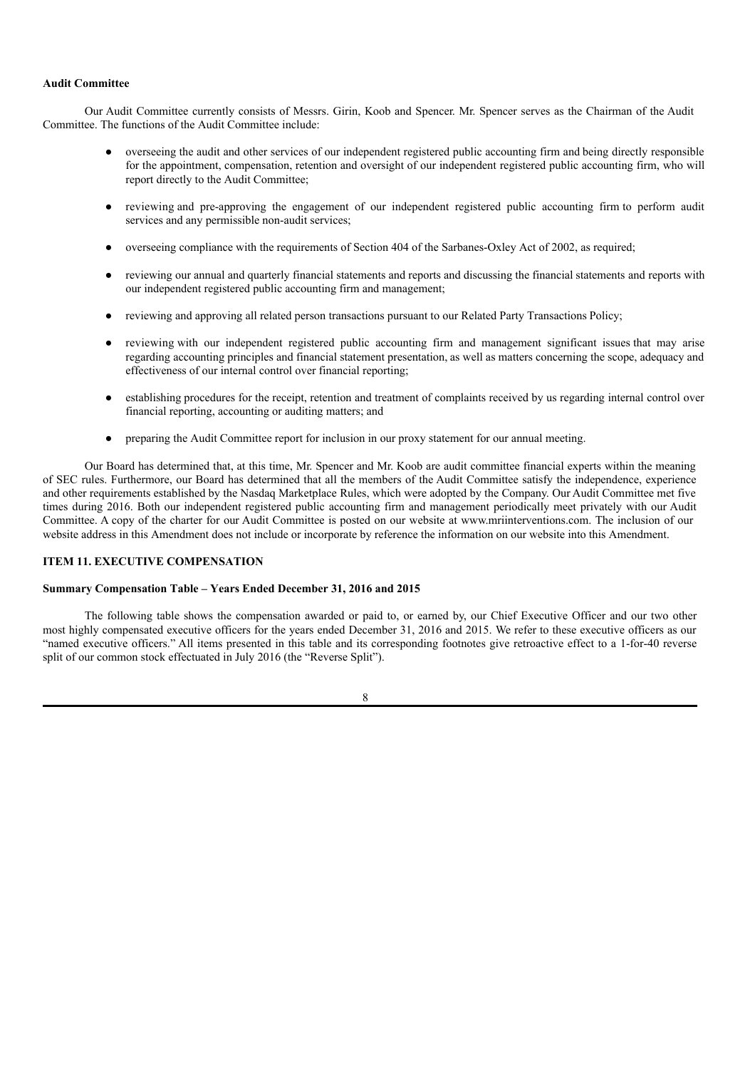# **Audit Committee**

Our Audit Committee currently consists of Messrs. Girin, Koob and Spencer. Mr. Spencer serves as the Chairman of the Audit Committee. The functions of the Audit Committee include:

- overseeing the audit and other services of our independent registered public accounting firm and being directly responsible for the appointment, compensation, retention and oversight of our independent registered public accounting firm, who will report directly to the Audit Committee;
- reviewing and pre-approving the engagement of our independent registered public accounting firm to perform audit services and any permissible non-audit services;
- overseeing compliance with the requirements of Section 404 of the Sarbanes-Oxley Act of 2002, as required;
- reviewing our annual and quarterly financial statements and reports and discussing the financial statements and reports with our independent registered public accounting firm and management;
- reviewing and approving all related person transactions pursuant to our Related Party Transactions Policy;
- reviewing with our independent registered public accounting firm and management significant issues that may arise regarding accounting principles and financial statement presentation, as well as matters concerning the scope, adequacy and effectiveness of our internal control over financial reporting;
- establishing procedures for the receipt, retention and treatment of complaints received by us regarding internal control over financial reporting, accounting or auditing matters; and
- preparing the Audit Committee report for inclusion in our proxy statement for our annual meeting.

Our Board has determined that, at this time, Mr. Spencer and Mr. Koob are audit committee financial experts within the meaning of SEC rules. Furthermore, our Board has determined that all the members of the Audit Committee satisfy the independence, experience and other requirements established by the Nasdaq Marketplace Rules, which were adopted by the Company. Our Audit Committee met five times during 2016. Both our independent registered public accounting firm and management periodically meet privately with our Audit Committee. A copy of the charter for our Audit Committee is posted on our website at www.mriinterventions.com. The inclusion of our website address in this Amendment does not include or incorporate by reference the information on our website into this Amendment.

# **ITEM 11. EXECUTIVE COMPENSATION**

### **Summary Compensation Table – Years Ended December 31, 2016 and 2015**

The following table shows the compensation awarded or paid to, or earned by, our Chief Executive Officer and our two other most highly compensated executive officers for the years ended December 31, 2016 and 2015. We refer to these executive officers as our "named executive officers." All items presented in this table and its corresponding footnotes give retroactive effect to a 1-for-40 reverse split of our common stock effectuated in July 2016 (the "Reverse Split").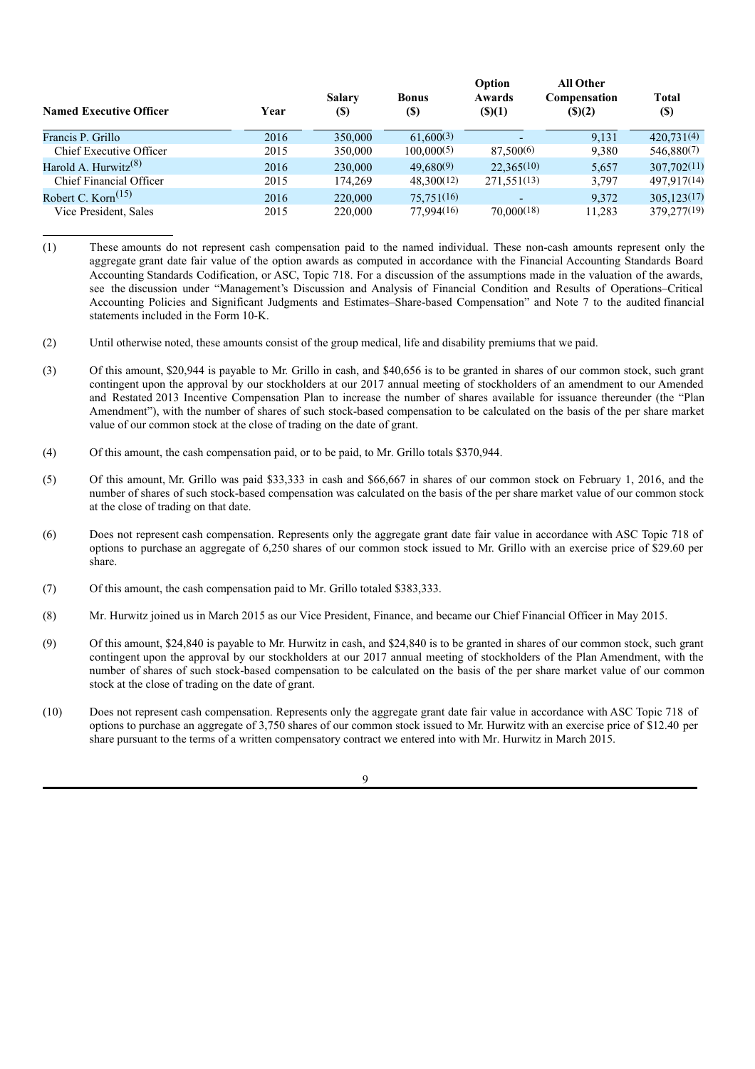| <b>Named Executive Officer</b>                | Year | <b>Salary</b><br><b>(\$)</b> | <b>Bonus</b><br>(\$) | Option<br>Awards<br>$($ (\$)(1) | All Other<br><b>Compensation</b><br>(S)(2) | <b>Total</b><br><b>(\$)</b> |
|-----------------------------------------------|------|------------------------------|----------------------|---------------------------------|--------------------------------------------|-----------------------------|
| Francis P. Grillo                             | 2016 | 350,000                      | 61,600(3)            | -                               | 9.131                                      | 420.731(4)                  |
| Chief Executive Officer                       | 2015 | 350,000                      | 100,000(5)           | 87,500(6)                       | 9,380                                      | 546,880(7)                  |
| Harold A. Hurwitz <sup><math>(8)</math></sup> | 2016 | 230,000                      | 49,680(9)            | 22.365(10)                      | 5,657                                      | 307,702(11)                 |
| <b>Chief Financial Officer</b>                | 2015 | 174.269                      | 48,300(12)           | 271,551(13)                     | 3,797                                      | 497,917(14)                 |
| Robert C. Korn $(15)$                         | 2016 | 220,000                      | 75,751(16)           | -                               | 9,372                                      | 305,123(17)                 |
| Vice President, Sales                         | 2015 | 220,000                      | 77,994(16)           | 70,000(18)                      | 11,283                                     | 379,277(19)                 |

<sup>(1)</sup> These amounts do not represent cash compensation paid to the named individual. These non-cash amounts represent only the aggregate grant date fair value of the option awards as computed in accordance with the Financial Accounting Standards Board Accounting Standards Codification, or ASC, Topic 718. For a discussion of the assumptions made in the valuation of the awards, see the discussion under "Management's Discussion and Analysis of Financial Condition and Results of Operations–Critical Accounting Policies and Significant Judgments and Estimates–Share-based Compensation" and Note 7 to the audited financial statements included in the Form 10-K.

- (2) Until otherwise noted, these amounts consist of the group medical, life and disability premiums that we paid.
- (3) Of this amount, \$20,944 is payable to Mr. Grillo in cash, and \$40,656 is to be granted in shares of our common stock, such grant contingent upon the approval by our stockholders at our 2017 annual meeting of stockholders of an amendment to our Amended and Restated 2013 Incentive Compensation Plan to increase the number of shares available for issuance thereunder (the "Plan Amendment"), with the number of shares of such stock-based compensation to be calculated on the basis of the per share market value of our common stock at the close of trading on the date of grant.
- (4) Of this amount, the cash compensation paid, or to be paid, to Mr. Grillo totals \$370,944.
- (5) Of this amount, Mr. Grillo was paid \$33,333 in cash and \$66,667 in shares of our common stock on February 1, 2016, and the number of shares of such stock-based compensation was calculated on the basis of the per share market value of our common stock at the close of trading on that date.
- (6) Does not represent cash compensation. Represents only the aggregate grant date fair value in accordance with ASC Topic 718 of options to purchase an aggregate of 6,250 shares of our common stock issued to Mr. Grillo with an exercise price of \$29.60 per share.
- (7) Of this amount, the cash compensation paid to Mr. Grillo totaled \$383,333.
- (8) Mr. Hurwitz joined us in March 2015 as our Vice President, Finance, and became our Chief Financial Officer in May 2015.
- (9) Of this amount, \$24,840 is payable to Mr. Hurwitz in cash, and \$24,840 is to be granted in shares of our common stock, such grant contingent upon the approval by our stockholders at our 2017 annual meeting of stockholders of the Plan Amendment, with the number of shares of such stock-based compensation to be calculated on the basis of the per share market value of our common stock at the close of trading on the date of grant.
- (10) Does not represent cash compensation. Represents only the aggregate grant date fair value in accordance with ASC Topic 718 of options to purchase an aggregate of 3,750 shares of our common stock issued to Mr. Hurwitz with an exercise price of \$12.40 per share pursuant to the terms of a written compensatory contract we entered into with Mr. Hurwitz in March 2015.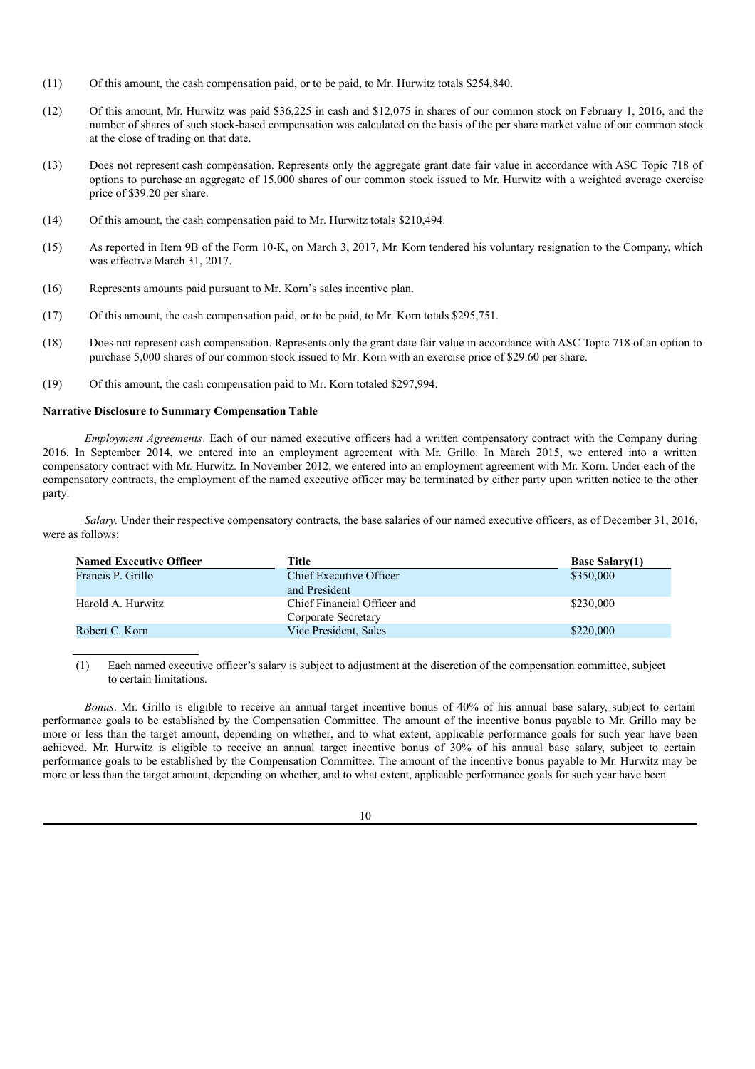- (11) Of this amount, the cash compensation paid, or to be paid, to Mr. Hurwitz totals \$254,840.
- (12) Of this amount, Mr. Hurwitz was paid \$36,225 in cash and \$12,075 in shares of our common stock on February 1, 2016, and the number of shares of such stock-based compensation was calculated on the basis of the per share market value of our common stock at the close of trading on that date.
- (13) Does not represent cash compensation. Represents only the aggregate grant date fair value in accordance with ASC Topic 718 of options to purchase an aggregate of 15,000 shares of our common stock issued to Mr. Hurwitz with a weighted average exercise price of \$39.20 per share.
- (14) Of this amount, the cash compensation paid to Mr. Hurwitz totals \$210,494.
- (15) As reported in Item 9B of the Form 10-K, on March 3, 2017, Mr. Korn tendered his voluntary resignation to the Company, which was effective March 31, 2017.
- (16) Represents amounts paid pursuant to Mr. Korn's sales incentive plan.
- (17) Of this amount, the cash compensation paid, or to be paid, to Mr. Korn totals \$295,751.
- (18) Does not represent cash compensation. Represents only the grant date fair value in accordance with ASC Topic 718 of an option to purchase 5,000 shares of our common stock issued to Mr. Korn with an exercise price of \$29.60 per share.
- (19) Of this amount, the cash compensation paid to Mr. Korn totaled \$297,994.

# **Narrative Disclosure to Summary Compensation Table**

*Employment Agreements*. Each of our named executive officers had a written compensatory contract with the Company during 2016. In September 2014, we entered into an employment agreement with Mr. Grillo. In March 2015, we entered into a written compensatory contract with Mr. Hurwitz. In November 2012, we entered into an employment agreement with Mr. Korn. Under each of the compensatory contracts, the employment of the named executive officer may be terminated by either party upon written notice to the other party.

*Salary.* Under their respective compensatory contracts, the base salaries of our named executive officers, as of December 31, 2016, were as follows:

| <b>Named Executive Officer</b> | Title                                              | <b>Base Salary(1)</b> |
|--------------------------------|----------------------------------------------------|-----------------------|
| Francis P. Grillo              | Chief Executive Officer<br>and President           | \$350,000             |
| Harold A. Hurwitz              | Chief Financial Officer and<br>Corporate Secretary | \$230,000             |
| Robert C. Korn                 | Vice President, Sales                              | \$220,000             |

(1) Each named executive officer's salary is subject to adjustment at the discretion of the compensation committee, subject to certain limitations.

*Bonus*. Mr. Grillo is eligible to receive an annual target incentive bonus of 40% of his annual base salary, subject to certain performance goals to be established by the Compensation Committee. The amount of the incentive bonus payable to Mr. Grillo may be more or less than the target amount, depending on whether, and to what extent, applicable performance goals for such year have been achieved. Mr. Hurwitz is eligible to receive an annual target incentive bonus of 30% of his annual base salary, subject to certain performance goals to be established by the Compensation Committee. The amount of the incentive bonus payable to Mr. Hurwitz may be more or less than the target amount, depending on whether, and to what extent, applicable performance goals for such year have been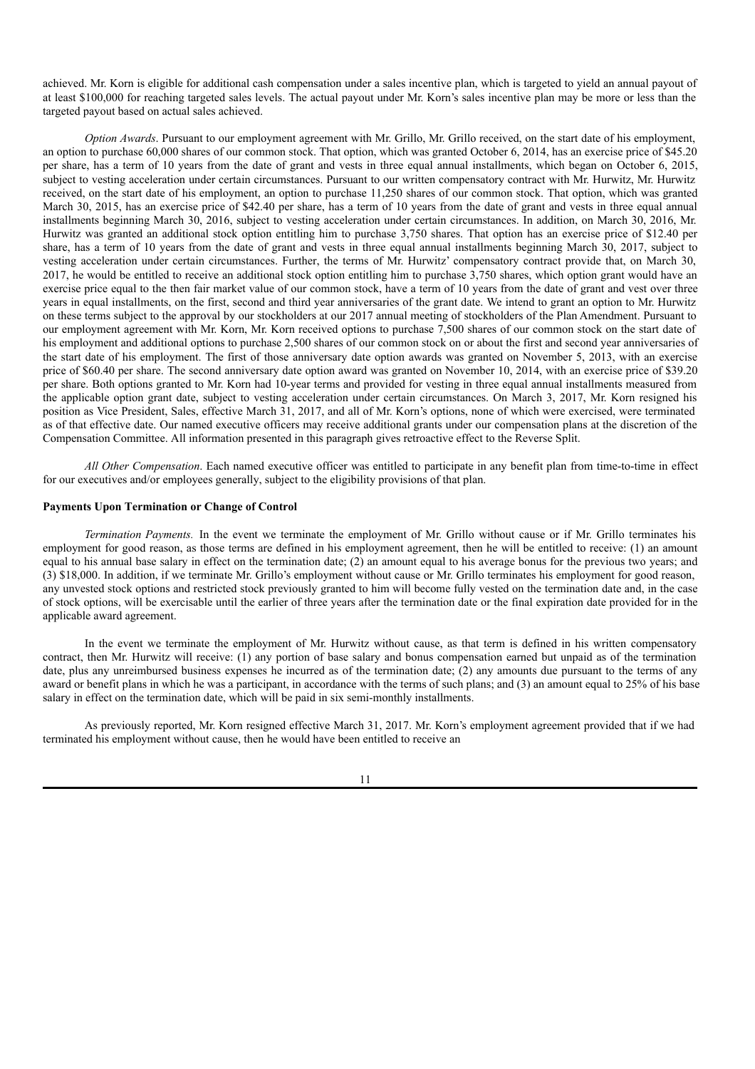achieved. Mr. Korn is eligible for additional cash compensation under a sales incentive plan, which is targeted to yield an annual payout of at least \$100,000 for reaching targeted sales levels. The actual payout under Mr. Korn's sales incentive plan may be more or less than the targeted payout based on actual sales achieved.

*Option Awards*. Pursuant to our employment agreement with Mr. Grillo, Mr. Grillo received, on the start date of his employment, an option to purchase 60,000 shares of our common stock. That option, which was granted October 6, 2014, has an exercise price of \$45.20 per share, has a term of 10 years from the date of grant and vests in three equal annual installments, which began on October 6, 2015, subject to vesting acceleration under certain circumstances. Pursuant to our written compensatory contract with Mr. Hurwitz, Mr. Hurwitz received, on the start date of his employment, an option to purchase 11,250 shares of our common stock. That option, which was granted March 30, 2015, has an exercise price of \$42.40 per share, has a term of 10 years from the date of grant and vests in three equal annual installments beginning March 30, 2016, subject to vesting acceleration under certain circumstances. In addition, on March 30, 2016, Mr. Hurwitz was granted an additional stock option entitling him to purchase 3,750 shares. That option has an exercise price of \$12.40 per share, has a term of 10 years from the date of grant and vests in three equal annual installments beginning March 30, 2017, subject to vesting acceleration under certain circumstances. Further, the terms of Mr. Hurwitz' compensatory contract provide that, on March 30, 2017, he would be entitled to receive an additional stock option entitling him to purchase 3,750 shares, which option grant would have an exercise price equal to the then fair market value of our common stock, have a term of 10 years from the date of grant and vest over three years in equal installments, on the first, second and third year anniversaries of the grant date. We intend to grant an option to Mr. Hurwitz on these terms subject to the approval by our stockholders at our 2017 annual meeting of stockholders of the Plan Amendment. Pursuant to our employment agreement with Mr. Korn, Mr. Korn received options to purchase 7,500 shares of our common stock on the start date of his employment and additional options to purchase 2,500 shares of our common stock on or about the first and second year anniversaries of the start date of his employment. The first of those anniversary date option awards was granted on November 5, 2013, with an exercise price of \$60.40 per share. The second anniversary date option award was granted on November 10, 2014, with an exercise price of \$39.20 per share. Both options granted to Mr. Korn had 10-year terms and provided for vesting in three equal annual installments measured from the applicable option grant date, subject to vesting acceleration under certain circumstances. On March 3, 2017, Mr. Korn resigned his position as Vice President, Sales, effective March 31, 2017, and all of Mr. Korn's options, none of which were exercised, were terminated as of that effective date. Our named executive officers may receive additional grants under our compensation plans at the discretion of the Compensation Committee. All information presented in this paragraph gives retroactive effect to the Reverse Split.

*All Other Compensation*. Each named executive officer was entitled to participate in any benefit plan from time-to-time in effect for our executives and/or employees generally, subject to the eligibility provisions of that plan.

## **Payments Upon Termination or Change of Control**

*Termination Payments.* In the event we terminate the employment of Mr. Grillo without cause or if Mr. Grillo terminates his employment for good reason, as those terms are defined in his employment agreement, then he will be entitled to receive: (1) an amount equal to his annual base salary in effect on the termination date; (2) an amount equal to his average bonus for the previous two years; and (3) \$18,000. In addition, if we terminate Mr. Grillo's employment without cause or Mr. Grillo terminates his employment for good reason, any unvested stock options and restricted stock previously granted to him will become fully vested on the termination date and, in the case of stock options, will be exercisable until the earlier of three years after the termination date or the final expiration date provided for in the applicable award agreement.

In the event we terminate the employment of Mr. Hurwitz without cause, as that term is defined in his written compensatory contract, then Mr. Hurwitz will receive: (1) any portion of base salary and bonus compensation earned but unpaid as of the termination date, plus any unreimbursed business expenses he incurred as of the termination date; (2) any amounts due pursuant to the terms of any award or benefit plans in which he was a participant, in accordance with the terms of such plans; and (3) an amount equal to 25% of his base salary in effect on the termination date, which will be paid in six semi-monthly installments.

As previously reported, Mr. Korn resigned effective March 31, 2017. Mr. Korn's employment agreement provided that if we had terminated his employment without cause, then he would have been entitled to receive an

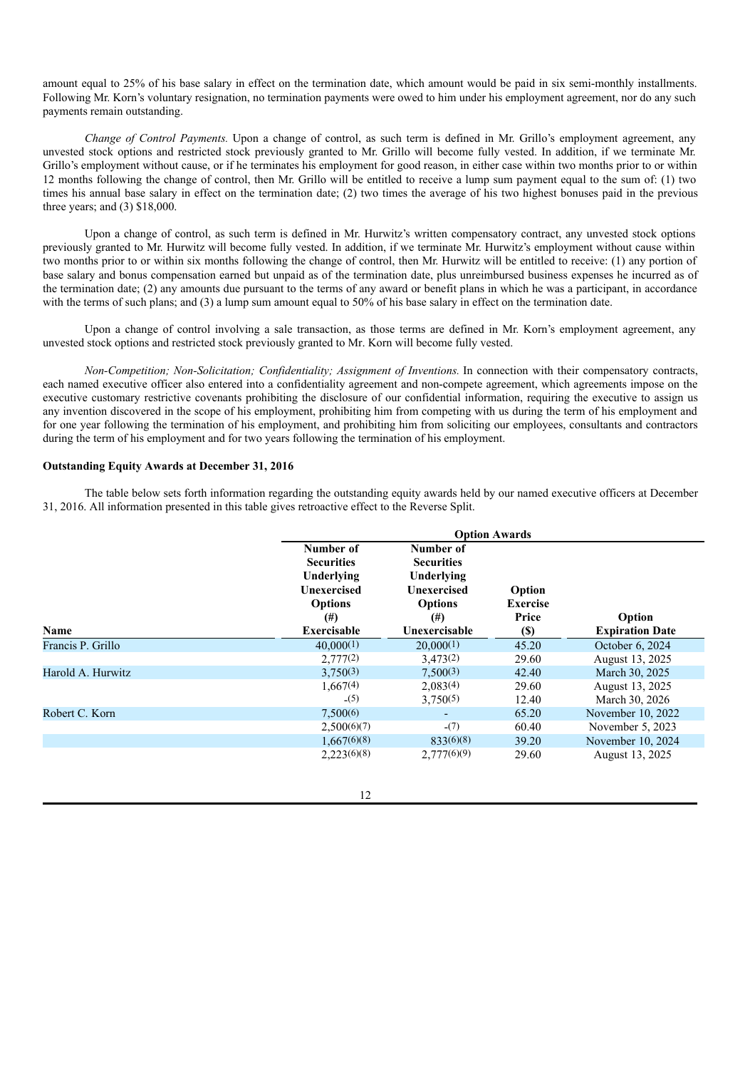amount equal to 25% of his base salary in effect on the termination date, which amount would be paid in six semi-monthly installments. Following Mr. Korn's voluntary resignation, no termination payments were owed to him under his employment agreement, nor do any such payments remain outstanding.

*Change of Control Payments.* Upon a change of control, as such term is defined in Mr. Grillo's employment agreement, any unvested stock options and restricted stock previously granted to Mr. Grillo will become fully vested. In addition, if we terminate Mr. Grillo's employment without cause, or if he terminates his employment for good reason, in either case within two months prior to or within 12 months following the change of control, then Mr. Grillo will be entitled to receive a lump sum payment equal to the sum of: (1) two times his annual base salary in effect on the termination date; (2) two times the average of his two highest bonuses paid in the previous three years; and (3) \$18,000.

Upon a change of control, as such term is defined in Mr. Hurwitz's written compensatory contract, any unvested stock options previously granted to Mr. Hurwitz will become fully vested. In addition, if we terminate Mr. Hurwitz's employment without cause within two months prior to or within six months following the change of control, then Mr. Hurwitz will be entitled to receive: (1) any portion of base salary and bonus compensation earned but unpaid as of the termination date, plus unreimbursed business expenses he incurred as of the termination date; (2) any amounts due pursuant to the terms of any award or benefit plans in which he was a participant, in accordance with the terms of such plans; and (3) a lump sum amount equal to 50% of his base salary in effect on the termination date.

Upon a change of control involving a sale transaction, as those terms are defined in Mr. Korn's employment agreement, any unvested stock options and restricted stock previously granted to Mr. Korn will become fully vested.

*Non-Competition; Non-Solicitation; Confidentiality; Assignment of Inventions.* In connection with their compensatory contracts, each named executive officer also entered into a confidentiality agreement and non-compete agreement, which agreements impose on the executive customary restrictive covenants prohibiting the disclosure of our confidential information, requiring the executive to assign us any invention discovered in the scope of his employment, prohibiting him from competing with us during the term of his employment and for one year following the termination of his employment, and prohibiting him from soliciting our employees, consultants and contractors during the term of his employment and for two years following the termination of his employment.

### **Outstanding Equity Awards at December 31, 2016**

The table below sets forth information regarding the outstanding equity awards held by our named executive officers at December 31, 2016. All information presented in this table gives retroactive effect to the Reverse Split.

|                   | <b>Option Awards</b>                                                                                            |                                                                                                                   |                                                                  |                                  |
|-------------------|-----------------------------------------------------------------------------------------------------------------|-------------------------------------------------------------------------------------------------------------------|------------------------------------------------------------------|----------------------------------|
| Name              | Number of<br><b>Securities</b><br>Underlying<br><b>Unexercised</b><br><b>Options</b><br>$^{(#)}$<br>Exercisable | Number of<br><b>Securities</b><br>Underlying<br><b>Unexercised</b><br><b>Options</b><br>$^{(#)}$<br>Unexercisable | Option<br><b>Exercise</b><br>Price<br>$\left( \mathbb{S}\right)$ | Option<br><b>Expiration Date</b> |
| Francis P. Grillo | 40,000(1)                                                                                                       | 20,000(1)                                                                                                         | 45.20                                                            | October 6, 2024                  |
|                   | 2,777(2)                                                                                                        | 3,473(2)                                                                                                          | 29.60                                                            | August 13, 2025                  |
| Harold A. Hurwitz | 3,750(3)                                                                                                        | 7,500(3)                                                                                                          | 42.40                                                            | March 30, 2025                   |
|                   | 1,667(4)                                                                                                        | 2,083(4)                                                                                                          | 29.60                                                            | August 13, 2025                  |
|                   | (5)                                                                                                             | 3,750(5)                                                                                                          | 12.40                                                            | March 30, 2026                   |
| Robert C. Korn    | 7,500(6)                                                                                                        |                                                                                                                   | 65.20                                                            | November 10, 2022                |
|                   | 2,500(6)(7)                                                                                                     | $-(7)$                                                                                                            | 60.40                                                            | November 5, 2023                 |
|                   | 1,667(6)(8)                                                                                                     | 833(6)(8)                                                                                                         | 39.20                                                            | November 10, 2024                |
|                   | 2,223(6)(8)                                                                                                     | 2,777(6)(9)                                                                                                       | 29.60                                                            | August 13, 2025                  |

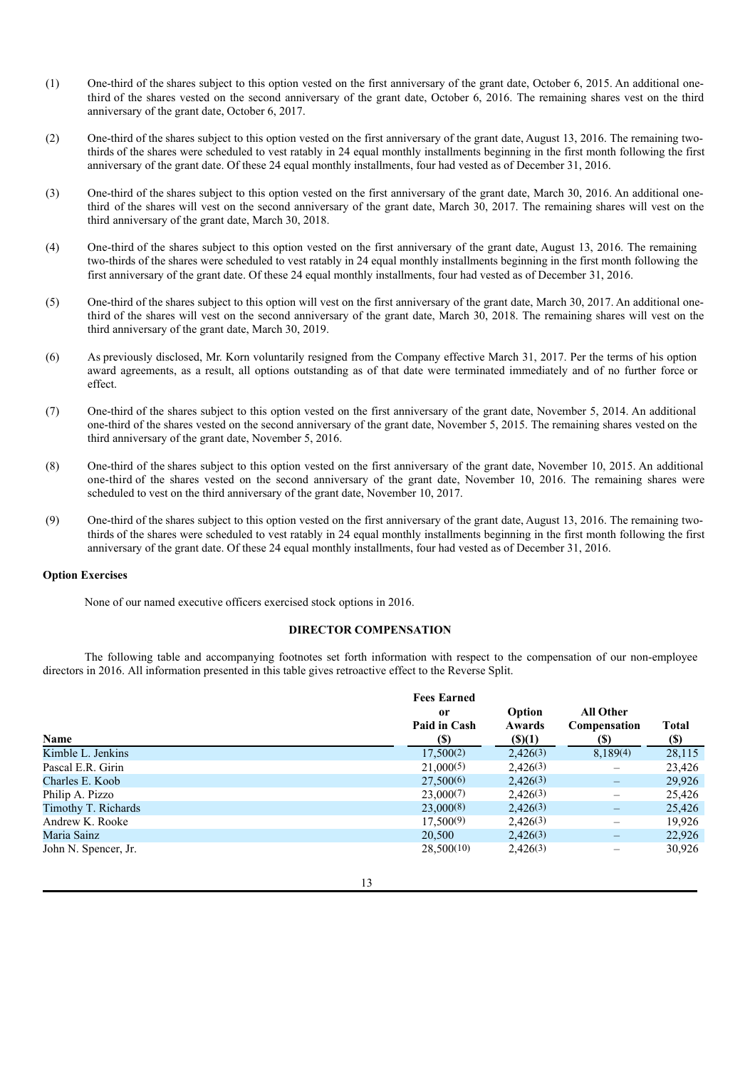- (1) One-third of the shares subject to this option vested on the first anniversary of the grant date, October 6, 2015. An additional onethird of the shares vested on the second anniversary of the grant date, October 6, 2016. The remaining shares vest on the third anniversary of the grant date, October 6, 2017.
- (2) One-third of the shares subject to this option vested on the first anniversary of the grant date, August 13, 2016. The remaining twothirds of the shares were scheduled to vest ratably in 24 equal monthly installments beginning in the first month following the first anniversary of the grant date. Of these 24 equal monthly installments, four had vested as of December 31, 2016.
- (3) One-third of the shares subject to this option vested on the first anniversary of the grant date, March 30, 2016. An additional onethird of the shares will vest on the second anniversary of the grant date, March 30, 2017. The remaining shares will vest on the third anniversary of the grant date, March 30, 2018.
- (4) One-third of the shares subject to this option vested on the first anniversary of the grant date, August 13, 2016. The remaining two-thirds of the shares were scheduled to vest ratably in 24 equal monthly installments beginning in the first month following the first anniversary of the grant date. Of these 24 equal monthly installments, four had vested as of December 31, 2016.
- (5) One-third of the shares subject to this option will vest on the first anniversary of the grant date, March 30, 2017. An additional onethird of the shares will vest on the second anniversary of the grant date, March 30, 2018. The remaining shares will vest on the third anniversary of the grant date, March 30, 2019.
- (6) As previously disclosed, Mr. Korn voluntarily resigned from the Company effective March 31, 2017. Per the terms of his option award agreements, as a result, all options outstanding as of that date were terminated immediately and of no further force or effect.
- (7) One-third of the shares subject to this option vested on the first anniversary of the grant date, November 5, 2014. An additional one-third of the shares vested on the second anniversary of the grant date, November 5, 2015. The remaining shares vested on the third anniversary of the grant date, November 5, 2016.
- (8) One-third of the shares subject to this option vested on the first anniversary of the grant date, November 10, 2015. An additional one-third of the shares vested on the second anniversary of the grant date, November 10, 2016. The remaining shares were scheduled to vest on the third anniversary of the grant date, November 10, 2017.
- (9) One-third of the shares subject to this option vested on the first anniversary of the grant date, August 13, 2016. The remaining twothirds of the shares were scheduled to vest ratably in 24 equal monthly installments beginning in the first month following the first anniversary of the grant date. Of these 24 equal monthly installments, four had vested as of December 31, 2016.

# **Option Exercises**

None of our named executive officers exercised stock options in 2016.

### **DIRECTOR COMPENSATION**

The following table and accompanying footnotes set forth information with respect to the compensation of our non-employee directors in 2016. All information presented in this table gives retroactive effect to the Reverse Split.

|                      | <b>Fees Earned</b> |             |                  |             |
|----------------------|--------------------|-------------|------------------|-------------|
|                      | <sub>or</sub>      | Option      | <b>All Other</b> |             |
|                      | Paid in Cash       | Awards      | Compensation     | Total       |
| Name                 | (S)                | $($ (\$)(1) | (S)              | <b>(\$)</b> |
| Kimble L. Jenkins    | $17,500^{(2)}$     | 2,426(3)    | 8,189(4)         | 28,115      |
| Pascal E.R. Girin    | 21,000(5)          | 2,426(3)    |                  | 23,426      |
| Charles E. Koob      | 27,500(6)          | 2,426(3)    |                  | 29,926      |
| Philip A. Pizzo      | 23,000(7)          | 2,426(3)    |                  | 25,426      |
| Timothy T. Richards  | 23,000(8)          | 2,426(3)    |                  | 25,426      |
| Andrew K. Rooke      | 17,500(9)          | 2,426(3)    |                  | 19,926      |
| Maria Sainz          | 20,500             | 2,426(3)    |                  | 22.926      |
| John N. Spencer, Jr. | 28,500(10)         | 2,426(3)    |                  | 30,926      |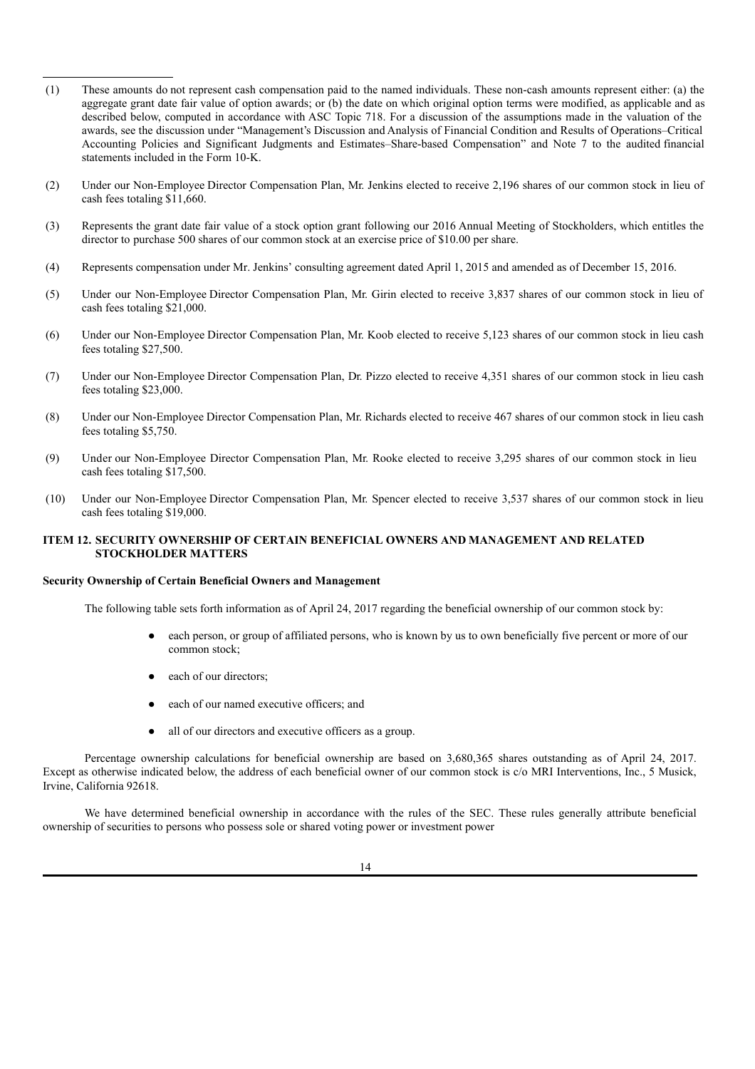- (1) These amounts do not represent cash compensation paid to the named individuals. These non-cash amounts represent either: (a) the aggregate grant date fair value of option awards; or (b) the date on which original option terms were modified, as applicable and as described below, computed in accordance with ASC Topic 718. For a discussion of the assumptions made in the valuation of the awards, see the discussion under "Management's Discussion and Analysis of Financial Condition and Results of Operations–Critical Accounting Policies and Significant Judgments and Estimates–Share-based Compensation" and Note 7 to the audited financial statements included in the Form 10-K.
- (2) Under our Non-Employee Director Compensation Plan, Mr. Jenkins elected to receive 2,196 shares of our common stock in lieu of cash fees totaling \$11,660.
- (3) Represents the grant date fair value of a stock option grant following our 2016 Annual Meeting of Stockholders, which entitles the director to purchase 500 shares of our common stock at an exercise price of \$10.00 per share.
- (4) Represents compensation under Mr. Jenkins' consulting agreement dated April 1, 2015 and amended as of December 15, 2016.
- (5) Under our Non-Employee Director Compensation Plan, Mr. Girin elected to receive 3,837 shares of our common stock in lieu of cash fees totaling \$21,000.
- (6) Under our Non-Employee Director Compensation Plan, Mr. Koob elected to receive 5,123 shares of our common stock in lieu cash fees totaling \$27,500.
- (7) Under our Non-Employee Director Compensation Plan, Dr. Pizzo elected to receive 4,351 shares of our common stock in lieu cash fees totaling \$23,000.
- (8) Under our Non-Employee Director Compensation Plan, Mr. Richards elected to receive 467 shares of our common stock in lieu cash fees totaling \$5,750.
- (9) Under our Non-Employee Director Compensation Plan, Mr. Rooke elected to receive 3,295 shares of our common stock in lieu cash fees totaling \$17,500.
- (10) Under our Non-Employee Director Compensation Plan, Mr. Spencer elected to receive 3,537 shares of our common stock in lieu cash fees totaling \$19,000.

# **ITEM 12. SECURITY OWNERSHIP OF CERTAIN BENEFICIAL OWNERS AND MANAGEMENT AND RELATED STOCKHOLDER MATTERS**

#### **Security Ownership of Certain Beneficial Owners and Management**

The following table sets forth information as of April 24, 2017 regarding the beneficial ownership of our common stock by:

- each person, or group of affiliated persons, who is known by us to own beneficially five percent or more of our common stock;
- each of our directors;
- each of our named executive officers; and
- all of our directors and executive officers as a group.

Percentage ownership calculations for beneficial ownership are based on 3,680,365 shares outstanding as of April 24, 2017. Except as otherwise indicated below, the address of each beneficial owner of our common stock is c/o MRI Interventions, Inc., 5 Musick, Irvine, California 92618.

We have determined beneficial ownership in accordance with the rules of the SEC. These rules generally attribute beneficial ownership of securities to persons who possess sole or shared voting power or investment power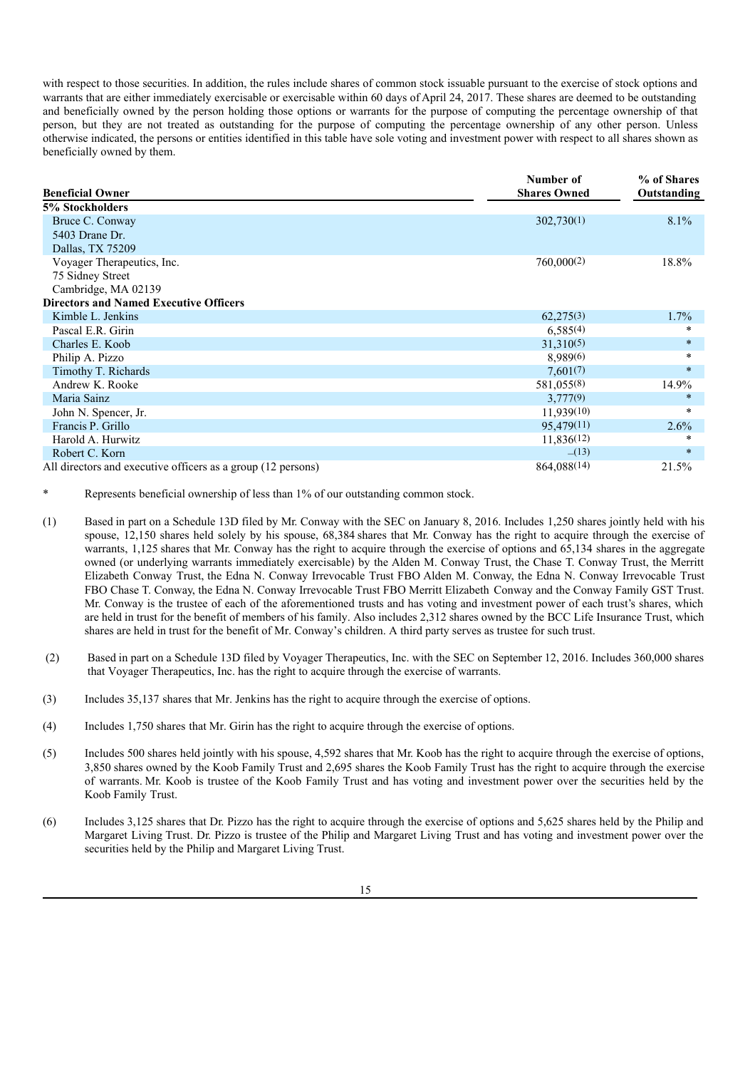with respect to those securities. In addition, the rules include shares of common stock issuable pursuant to the exercise of stock options and warrants that are either immediately exercisable or exercisable within 60 days of April 24, 2017. These shares are deemed to be outstanding and beneficially owned by the person holding those options or warrants for the purpose of computing the percentage ownership of that person, but they are not treated as outstanding for the purpose of computing the percentage ownership of any other person. Unless otherwise indicated, the persons or entities identified in this table have sole voting and investment power with respect to all shares shown as beneficially owned by them.

| <b>Beneficial Owner</b>                                      | Number of<br><b>Shares Owned</b> | % of Shares<br>Outstanding |
|--------------------------------------------------------------|----------------------------------|----------------------------|
| 5% Stockholders                                              |                                  |                            |
| Bruce C. Conway                                              | 302,730(1)                       | $8.1\%$                    |
| 5403 Drane Dr.                                               |                                  |                            |
| Dallas, TX 75209                                             |                                  |                            |
| Voyager Therapeutics, Inc.                                   | 760,000(2)                       | 18.8%                      |
| 75 Sidney Street                                             |                                  |                            |
| Cambridge, MA 02139                                          |                                  |                            |
| <b>Directors and Named Executive Officers</b>                |                                  |                            |
| Kimble L. Jenkins                                            | 62,275(3)                        | 1.7%                       |
| Pascal E.R. Girin                                            | 6,585(4)                         | $\star$                    |
| Charles E. Koob                                              | 31,310(5)                        | $\star$                    |
| Philip A. Pizzo                                              | 8,989(6)                         | $\star$                    |
| Timothy T. Richards                                          | 7,601(7)                         | $\star$                    |
| Andrew K. Rooke                                              | 581,055(8)                       | 14.9%                      |
| Maria Sainz                                                  | 3,777(9)                         | $\star$                    |
| John N. Spencer, Jr.                                         | 11,939(10)                       | ∗                          |
| Francis P. Grillo                                            | 95,479(11)                       | 2.6%                       |
| Harold A. Hurwitz                                            | 11,836(12)                       | ∗                          |
| Robert C. Korn                                               | $-(13)$                          | $\ast$                     |
| All directors and executive officers as a group (12 persons) | 864,088(14)                      | 21.5%                      |

Represents beneficial ownership of less than 1% of our outstanding common stock.

- (1) Based in part on a Schedule 13D filed by Mr. Conway with the SEC on January 8, 2016. Includes 1,250 shares jointly held with his spouse, 12,150 shares held solely by his spouse, 68,384 shares that Mr. Conway has the right to acquire through the exercise of warrants, 1,125 shares that Mr. Conway has the right to acquire through the exercise of options and 65,134 shares in the aggregate owned (or underlying warrants immediately exercisable) by the Alden M. Conway Trust, the Chase T. Conway Trust, the Merritt Elizabeth Conway Trust, the Edna N. Conway Irrevocable Trust FBO Alden M. Conway, the Edna N. Conway Irrevocable Trust FBO Chase T. Conway, the Edna N. Conway Irrevocable Trust FBO Merritt Elizabeth Conway and the Conway Family GST Trust. Mr. Conway is the trustee of each of the aforementioned trusts and has voting and investment power of each trust's shares, which are held in trust for the benefit of members of his family. Also includes 2,312 shares owned by the BCC Life Insurance Trust, which shares are held in trust for the benefit of Mr. Conway's children. A third party serves as trustee for such trust.
- (2) Based in part on a Schedule 13D filed by Voyager Therapeutics, Inc. with the SEC on September 12, 2016. Includes 360,000 shares that Voyager Therapeutics, Inc. has the right to acquire through the exercise of warrants.
- (3) Includes 35,137 shares that Mr. Jenkins has the right to acquire through the exercise of options.
- (4) Includes 1,750 shares that Mr. Girin has the right to acquire through the exercise of options.
- (5) Includes 500 shares held jointly with his spouse, 4,592 shares that Mr. Koob has the right to acquire through the exercise of options, 3,850 shares owned by the Koob Family Trust and 2,695 shares the Koob Family Trust has the right to acquire through the exercise of warrants. Mr. Koob is trustee of the Koob Family Trust and has voting and investment power over the securities held by the Koob Family Trust.
- (6) Includes 3,125 shares that Dr. Pizzo has the right to acquire through the exercise of options and 5,625 shares held by the Philip and Margaret Living Trust. Dr. Pizzo is trustee of the Philip and Margaret Living Trust and has voting and investment power over the securities held by the Philip and Margaret Living Trust.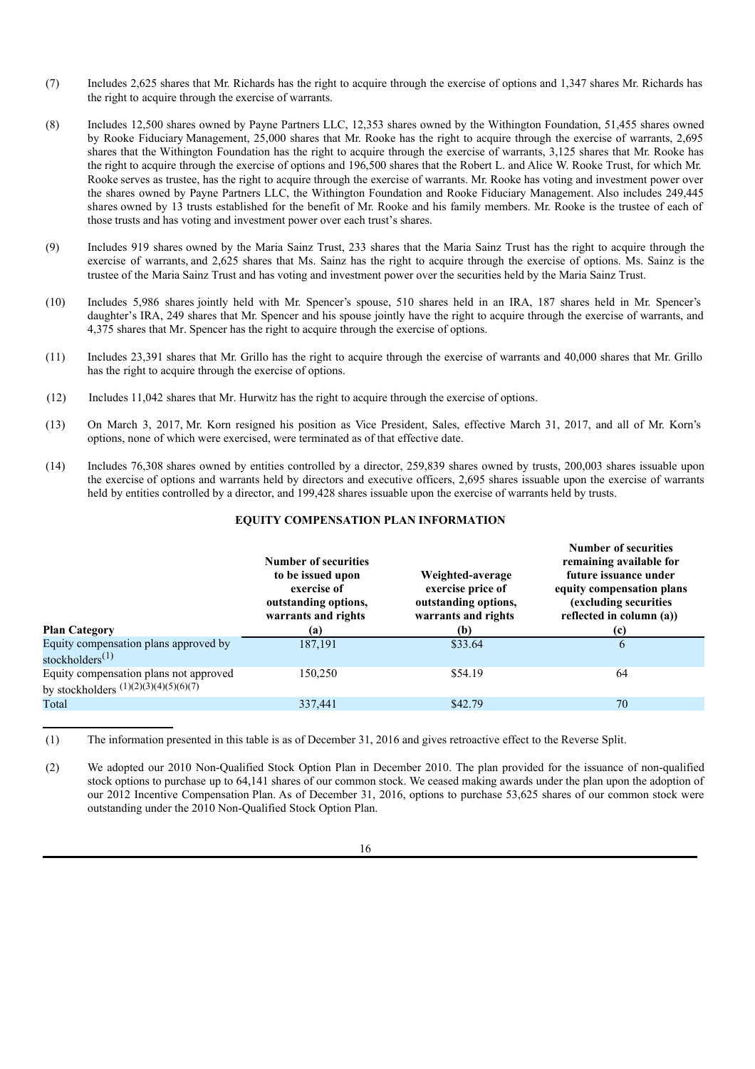- (7) Includes 2,625 shares that Mr. Richards has the right to acquire through the exercise of options and 1,347 shares Mr. Richards has the right to acquire through the exercise of warrants.
- (8) Includes 12,500 shares owned by Payne Partners LLC, 12,353 shares owned by the Withington Foundation, 51,455 shares owned by Rooke Fiduciary Management, 25,000 shares that Mr. Rooke has the right to acquire through the exercise of warrants, 2,695 shares that the Withington Foundation has the right to acquire through the exercise of warrants, 3,125 shares that Mr. Rooke has the right to acquire through the exercise of options and 196,500 shares that the Robert L. and Alice W. Rooke Trust, for which Mr. Rooke serves as trustee, has the right to acquire through the exercise of warrants. Mr. Rooke has voting and investment power over the shares owned by Payne Partners LLC, the Withington Foundation and Rooke Fiduciary Management. Also includes 249,445 shares owned by 13 trusts established for the benefit of Mr. Rooke and his family members. Mr. Rooke is the trustee of each of those trusts and has voting and investment power over each trust's shares.
- (9) Includes 919 shares owned by the Maria Sainz Trust, 233 shares that the Maria Sainz Trust has the right to acquire through the exercise of warrants, and 2,625 shares that Ms. Sainz has the right to acquire through the exercise of options. Ms. Sainz is the trustee of the Maria Sainz Trust and has voting and investment power over the securities held by the Maria Sainz Trust.
- (10) Includes 5,986 shares jointly held with Mr. Spencer's spouse, 510 shares held in an IRA, 187 shares held in Mr. Spencer's daughter's IRA, 249 shares that Mr. Spencer and his spouse jointly have the right to acquire through the exercise of warrants, and 4,375 shares that Mr. Spencer has the right to acquire through the exercise of options.
- (11) Includes 23,391 shares that Mr. Grillo has the right to acquire through the exercise of warrants and 40,000 shares that Mr. Grillo has the right to acquire through the exercise of options.
- (12) Includes 11,042 shares that Mr. Hurwitz has the right to acquire through the exercise of options.
- (13) On March 3, 2017, Mr. Korn resigned his position as Vice President, Sales, effective March 31, 2017, and all of Mr. Korn's options, none of which were exercised, were terminated as of that effective date.
- (14) Includes 76,308 shares owned by entities controlled by a director, 259,839 shares owned by trusts, 200,003 shares issuable upon the exercise of options and warrants held by directors and executive officers, 2,695 shares issuable upon the exercise of warrants held by entities controlled by a director, and 199,428 shares issuable upon the exercise of warrants held by trusts.

## **EQUITY COMPENSATION PLAN INFORMATION**

| <b>Plan Category</b>                                                              | Number of securities<br>to be issued upon<br>exercise of<br>outstanding options,<br>warrants and rights<br>(a) | Weighted-average<br>exercise price of<br>outstanding options,<br>warrants and rights<br>(b) | <b>Number of securities</b><br>remaining available for<br>future issuance under<br>equity compensation plans<br>(excluding securities<br>reflected in column (a))<br>(c) |
|-----------------------------------------------------------------------------------|----------------------------------------------------------------------------------------------------------------|---------------------------------------------------------------------------------------------|--------------------------------------------------------------------------------------------------------------------------------------------------------------------------|
| Equity compensation plans approved by<br>stockholders $(1)$                       | 187,191                                                                                                        | \$33.64                                                                                     | h                                                                                                                                                                        |
| Equity compensation plans not approved<br>by stockholders $(1)(2)(3)(4)(5)(6)(7)$ | 150,250                                                                                                        | \$54.19                                                                                     | 64                                                                                                                                                                       |
| Total                                                                             | 337,441                                                                                                        | \$42.79                                                                                     | 70                                                                                                                                                                       |

(1) The information presented in this table is as of December 31, 2016 and gives retroactive effect to the Reverse Split.

(2) We adopted our 2010 Non-Qualified Stock Option Plan in December 2010. The plan provided for the issuance of non-qualified stock options to purchase up to 64,141 shares of our common stock. We ceased making awards under the plan upon the adoption of our 2012 Incentive Compensation Plan. As of December 31, 2016, options to purchase 53,625 shares of our common stock were outstanding under the 2010 Non-Qualified Stock Option Plan.

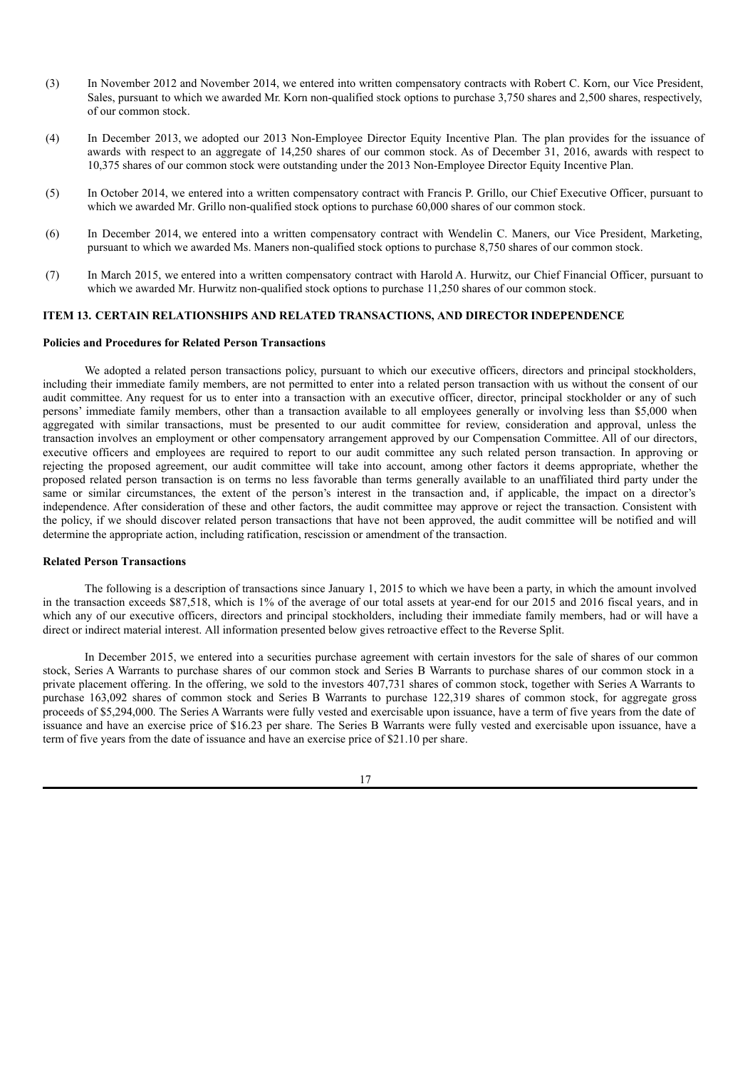- (3) In November 2012 and November 2014, we entered into written compensatory contracts with Robert C. Korn, our Vice President, Sales, pursuant to which we awarded Mr. Korn non-qualified stock options to purchase 3,750 shares and 2,500 shares, respectively, of our common stock.
- (4) In December 2013, we adopted our 2013 Non-Employee Director Equity Incentive Plan. The plan provides for the issuance of awards with respect to an aggregate of 14,250 shares of our common stock. As of December 31, 2016, awards with respect to 10,375 shares of our common stock were outstanding under the 2013 Non-Employee Director Equity Incentive Plan.
- (5) In October 2014, we entered into a written compensatory contract with Francis P. Grillo, our Chief Executive Officer, pursuant to which we awarded Mr. Grillo non-qualified stock options to purchase 60,000 shares of our common stock.
- (6) In December 2014, we entered into a written compensatory contract with Wendelin C. Maners, our Vice President, Marketing, pursuant to which we awarded Ms. Maners non-qualified stock options to purchase 8,750 shares of our common stock.
- (7) In March 2015, we entered into a written compensatory contract with Harold A. Hurwitz, our Chief Financial Officer, pursuant to which we awarded Mr. Hurwitz non-qualified stock options to purchase 11,250 shares of our common stock.

# **ITEM 13. CERTAIN RELATIONSHIPS AND RELATED TRANSACTIONS, AND DIRECTOR INDEPENDENCE**

# **Policies and Procedures for Related Person Transactions**

We adopted a related person transactions policy, pursuant to which our executive officers, directors and principal stockholders, including their immediate family members, are not permitted to enter into a related person transaction with us without the consent of our audit committee. Any request for us to enter into a transaction with an executive officer, director, principal stockholder or any of such persons' immediate family members, other than a transaction available to all employees generally or involving less than \$5,000 when aggregated with similar transactions, must be presented to our audit committee for review, consideration and approval, unless the transaction involves an employment or other compensatory arrangement approved by our Compensation Committee. All of our directors, executive officers and employees are required to report to our audit committee any such related person transaction. In approving or rejecting the proposed agreement, our audit committee will take into account, among other factors it deems appropriate, whether the proposed related person transaction is on terms no less favorable than terms generally available to an unaffiliated third party under the same or similar circumstances, the extent of the person's interest in the transaction and, if applicable, the impact on a director's independence. After consideration of these and other factors, the audit committee may approve or reject the transaction. Consistent with the policy, if we should discover related person transactions that have not been approved, the audit committee will be notified and will determine the appropriate action, including ratification, rescission or amendment of the transaction.

#### **Related Person Transactions**

The following is a description of transactions since January 1, 2015 to which we have been a party, in which the amount involved in the transaction exceeds \$87,518, which is 1% of the average of our total assets at year-end for our 2015 and 2016 fiscal years, and in which any of our executive officers, directors and principal stockholders, including their immediate family members, had or will have a direct or indirect material interest. All information presented below gives retroactive effect to the Reverse Split.

In December 2015, we entered into a securities purchase agreement with certain investors for the sale of shares of our common stock, Series A Warrants to purchase shares of our common stock and Series B Warrants to purchase shares of our common stock in a private placement offering. In the offering, we sold to the investors 407,731 shares of common stock, together with Series A Warrants to purchase 163,092 shares of common stock and Series B Warrants to purchase 122,319 shares of common stock, for aggregate gross proceeds of \$5,294,000. The Series A Warrants were fully vested and exercisable upon issuance, have a term of five years from the date of issuance and have an exercise price of \$16.23 per share. The Series B Warrants were fully vested and exercisable upon issuance, have a term of five years from the date of issuance and have an exercise price of \$21.10 per share.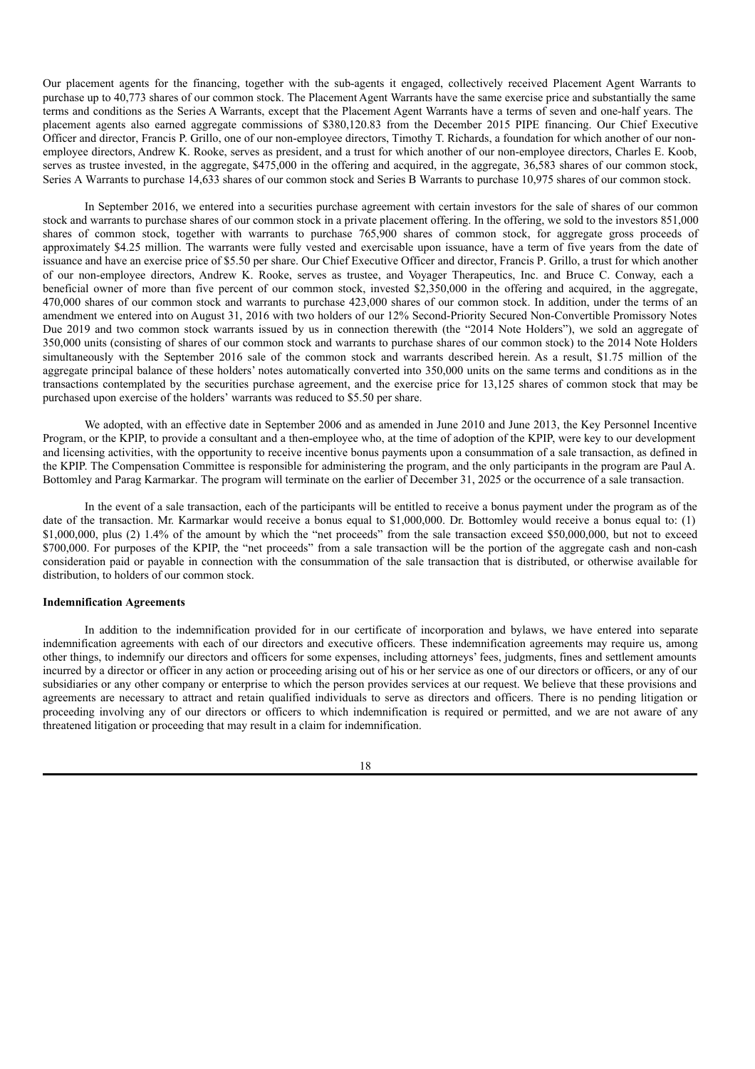Our placement agents for the financing, together with the sub-agents it engaged, collectively received Placement Agent Warrants to purchase up to 40,773 shares of our common stock. The Placement Agent Warrants have the same exercise price and substantially the same terms and conditions as the Series A Warrants, except that the Placement Agent Warrants have a terms of seven and one-half years. The placement agents also earned aggregate commissions of \$380,120.83 from the December 2015 PIPE financing. Our Chief Executive Officer and director, Francis P. Grillo, one of our non-employee directors, Timothy T. Richards, a foundation for which another of our nonemployee directors, Andrew K. Rooke, serves as president, and a trust for which another of our non-employee directors, Charles E. Koob, serves as trustee invested, in the aggregate, \$475,000 in the offering and acquired, in the aggregate, 36,583 shares of our common stock, Series A Warrants to purchase 14,633 shares of our common stock and Series B Warrants to purchase 10,975 shares of our common stock.

In September 2016, we entered into a securities purchase agreement with certain investors for the sale of shares of our common stock and warrants to purchase shares of our common stock in a private placement offering. In the offering, we sold to the investors 851,000 shares of common stock, together with warrants to purchase 765,900 shares of common stock, for aggregate gross proceeds of approximately \$4.25 million. The warrants were fully vested and exercisable upon issuance, have a term of five years from the date of issuance and have an exercise price of \$5.50 per share. Our Chief Executive Officer and director, Francis P. Grillo, a trust for which another of our non-employee directors, Andrew K. Rooke, serves as trustee, and Voyager Therapeutics, Inc. and Bruce C. Conway, each a beneficial owner of more than five percent of our common stock, invested \$2,350,000 in the offering and acquired, in the aggregate, 470,000 shares of our common stock and warrants to purchase 423,000 shares of our common stock. In addition, under the terms of an amendment we entered into on August 31, 2016 with two holders of our 12% Second-Priority Secured Non-Convertible Promissory Notes Due 2019 and two common stock warrants issued by us in connection therewith (the "2014 Note Holders"), we sold an aggregate of 350,000 units (consisting of shares of our common stock and warrants to purchase shares of our common stock) to the 2014 Note Holders simultaneously with the September 2016 sale of the common stock and warrants described herein. As a result, \$1.75 million of the aggregate principal balance of these holders' notes automatically converted into 350,000 units on the same terms and conditions as in the transactions contemplated by the securities purchase agreement, and the exercise price for 13,125 shares of common stock that may be purchased upon exercise of the holders' warrants was reduced to \$5.50 per share.

We adopted, with an effective date in September 2006 and as amended in June 2010 and June 2013, the Key Personnel Incentive Program, or the KPIP, to provide a consultant and a then-employee who, at the time of adoption of the KPIP, were key to our development and licensing activities, with the opportunity to receive incentive bonus payments upon a consummation of a sale transaction, as defined in the KPIP. The Compensation Committee is responsible for administering the program, and the only participants in the program are Paul A. Bottomley and Parag Karmarkar. The program will terminate on the earlier of December 31, 2025 or the occurrence of a sale transaction.

In the event of a sale transaction, each of the participants will be entitled to receive a bonus payment under the program as of the date of the transaction. Mr. Karmarkar would receive a bonus equal to \$1,000,000. Dr. Bottomley would receive a bonus equal to: (1) \$1,000,000, plus (2) 1.4% of the amount by which the "net proceeds" from the sale transaction exceed \$50,000,000, but not to exceed \$700,000. For purposes of the KPIP, the "net proceeds" from a sale transaction will be the portion of the aggregate cash and non-cash consideration paid or payable in connection with the consummation of the sale transaction that is distributed, or otherwise available for distribution, to holders of our common stock.

#### **Indemnification Agreements**

In addition to the indemnification provided for in our certificate of incorporation and bylaws, we have entered into separate indemnification agreements with each of our directors and executive officers. These indemnification agreements may require us, among other things, to indemnify our directors and officers for some expenses, including attorneys' fees, judgments, fines and settlement amounts incurred by a director or officer in any action or proceeding arising out of his or her service as one of our directors or officers, or any of our subsidiaries or any other company or enterprise to which the person provides services at our request. We believe that these provisions and agreements are necessary to attract and retain qualified individuals to serve as directors and officers. There is no pending litigation or proceeding involving any of our directors or officers to which indemnification is required or permitted, and we are not aware of any threatened litigation or proceeding that may result in a claim for indemnification.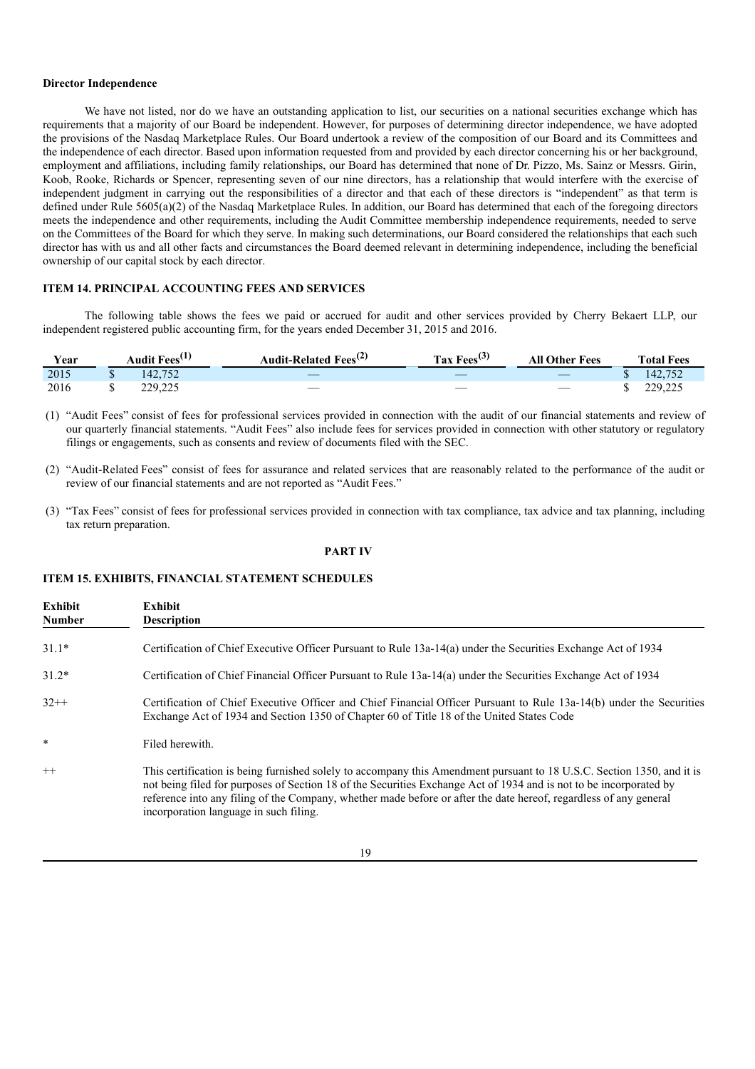#### **Director Independence**

We have not listed, nor do we have an outstanding application to list, our securities on a national securities exchange which has requirements that a majority of our Board be independent. However, for purposes of determining director independence, we have adopted the provisions of the Nasdaq Marketplace Rules. Our Board undertook a review of the composition of our Board and its Committees and the independence of each director. Based upon information requested from and provided by each director concerning his or her background, employment and affiliations, including family relationships, our Board has determined that none of Dr. Pizzo, Ms. Sainz or Messrs. Girin, Koob, Rooke, Richards or Spencer, representing seven of our nine directors, has a relationship that would interfere with the exercise of independent judgment in carrying out the responsibilities of a director and that each of these directors is "independent" as that term is defined under Rule 5605(a)(2) of the Nasdaq Marketplace Rules. In addition, our Board has determined that each of the foregoing directors meets the independence and other requirements, including the Audit Committee membership independence requirements, needed to serve on the Committees of the Board for which they serve. In making such determinations, our Board considered the relationships that each such director has with us and all other facts and circumstances the Board deemed relevant in determining independence, including the beneficial ownership of our capital stock by each director.

### **ITEM 14. PRINCIPAL ACCOUNTING FEES AND SERVICES**

The following table shows the fees we paid or accrued for audit and other services provided by Cherry Bekaert LLP, our independent registered public accounting firm, for the years ended December 31, 2015 and 2016.

| Year | Audit Fees <sup>(1)</sup> | Audit-Related Fees <sup>(2)</sup> | Tax Fees $^{(3)}$ | <b>All Other Fees</b>           | <b>Total Fees</b> |
|------|---------------------------|-----------------------------------|-------------------|---------------------------------|-------------------|
| 2015 | 142,752                   | $\overline{\phantom{a}}$          |                   | $\hspace{0.1mm}-\hspace{0.1mm}$ | 142,752           |
| 2016 | 229,225                   |                                   | __                | $\overline{\phantom{a}}$        | 229,225           |

(1) "Audit Fees" consist of fees for professional services provided in connection with the audit of our financial statements and review of our quarterly financial statements. "Audit Fees" also include fees for services provided in connection with other statutory or regulatory filings or engagements, such as consents and review of documents filed with the SEC.

- (2) "Audit-Related Fees" consist of fees for assurance and related services that are reasonably related to the performance of the audit or review of our financial statements and are not reported as "Audit Fees."
- (3) "Tax Fees" consist of fees for professional services provided in connection with tax compliance, tax advice and tax planning, including tax return preparation.

#### **PART IV**

# **ITEM 15. EXHIBITS, FINANCIAL STATEMENT SCHEDULES**

| Exhibit<br><b>Number</b> | Exhibit<br><b>Description</b>                                                                                                                                                                                                                                                                                                                                                                               |
|--------------------------|-------------------------------------------------------------------------------------------------------------------------------------------------------------------------------------------------------------------------------------------------------------------------------------------------------------------------------------------------------------------------------------------------------------|
| $31.1*$                  | Certification of Chief Executive Officer Pursuant to Rule 13a-14(a) under the Securities Exchange Act of 1934                                                                                                                                                                                                                                                                                               |
| $31.2*$                  | Certification of Chief Financial Officer Pursuant to Rule 13a-14(a) under the Securities Exchange Act of 1934                                                                                                                                                                                                                                                                                               |
| $32++$                   | Certification of Chief Executive Officer and Chief Financial Officer Pursuant to Rule 13a-14(b) under the Securities<br>Exchange Act of 1934 and Section 1350 of Chapter 60 of Title 18 of the United States Code                                                                                                                                                                                           |
| $\ast$                   | Filed herewith.                                                                                                                                                                                                                                                                                                                                                                                             |
| $++$                     | This certification is being furnished solely to accompany this Amendment pursuant to 18 U.S.C. Section 1350, and it is<br>not being filed for purposes of Section 18 of the Securities Exchange Act of 1934 and is not to be incorporated by<br>reference into any filing of the Company, whether made before or after the date hereof, regardless of any general<br>incorporation language in such filing. |

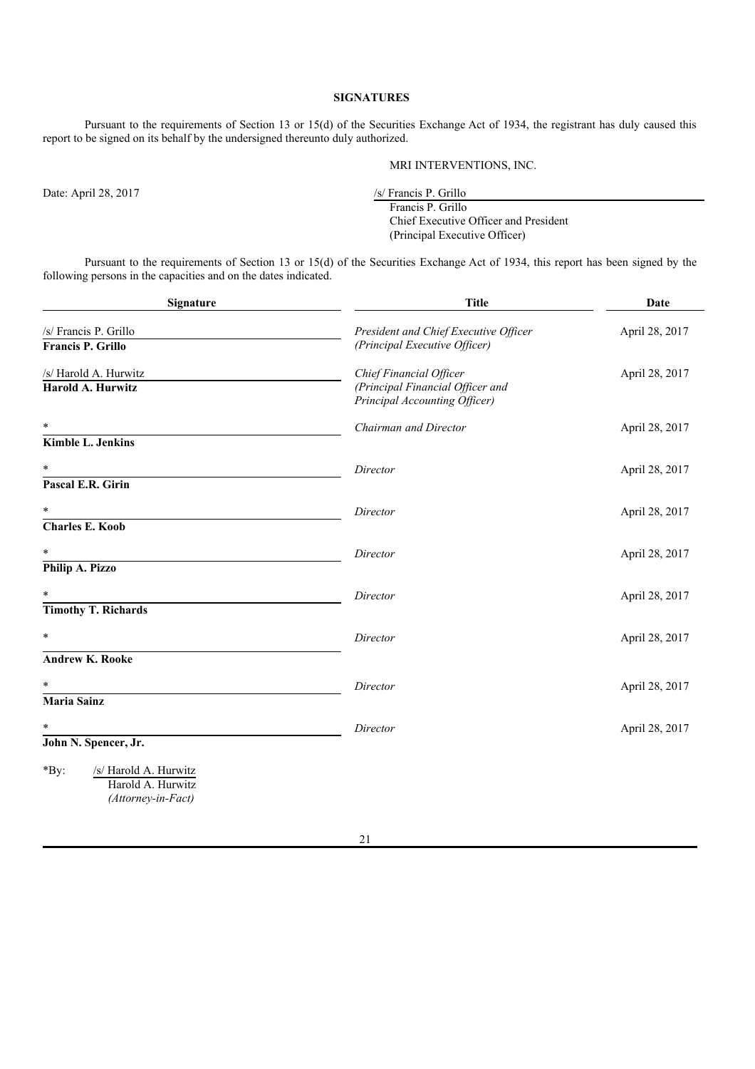# **SIGNATURES**

Pursuant to the requirements of Section 13 or 15(d) of the Securities Exchange Act of 1934, the registrant has duly caused this report to be signed on its behalf by the undersigned thereunto duly authorized.

MRI INTERVENTIONS, INC.

Date: April 28, 2017 /s/ Francis P. Grillo

Francis P. Grillo Chief Executive Officer and President (Principal Executive Officer)

Pursuant to the requirements of Section 13 or 15(d) of the Securities Exchange Act of 1934, this report has been signed by the following persons in the capacities and on the dates indicated.

| <b>Signature</b>                                                                                    | <b>Title</b>                                                                                 | Date           |  |
|-----------------------------------------------------------------------------------------------------|----------------------------------------------------------------------------------------------|----------------|--|
| /s/ Francis P. Grillo<br>Francis P. Grillo                                                          | President and Chief Executive Officer<br>(Principal Executive Officer)                       | April 28, 2017 |  |
| /s/ Harold A. Hurwitz<br><b>Harold A. Hurwitz</b>                                                   | Chief Financial Officer<br>(Principal Financial Officer and<br>Principal Accounting Officer) | April 28, 2017 |  |
| $\ast$<br><b>Kimble L. Jenkins</b>                                                                  | Chairman and Director                                                                        | April 28, 2017 |  |
| $\ast$<br>Pascal E.R. Girin                                                                         | Director                                                                                     | April 28, 2017 |  |
| $\ast$                                                                                              | Director                                                                                     | April 28, 2017 |  |
| <b>Charles E. Koob</b><br>$\ast$<br>Philip A. Pizzo                                                 | Director                                                                                     | April 28, 2017 |  |
| $\ast$<br><b>Timothy T. Richards</b>                                                                | Director                                                                                     | April 28, 2017 |  |
| $\ast$                                                                                              | Director                                                                                     | April 28, 2017 |  |
| <b>Andrew K. Rooke</b>                                                                              |                                                                                              |                |  |
| $\ast$<br><b>Maria Sainz</b>                                                                        | Director                                                                                     | April 28, 2017 |  |
| $\ast$                                                                                              | Director                                                                                     | April 28, 2017 |  |
| John N. Spencer, Jr.<br>$*$ By:<br>/s/ Harold A. Hurwitz<br>Harold A. Hurwitz<br>(Attorney-in-Fact) |                                                                                              |                |  |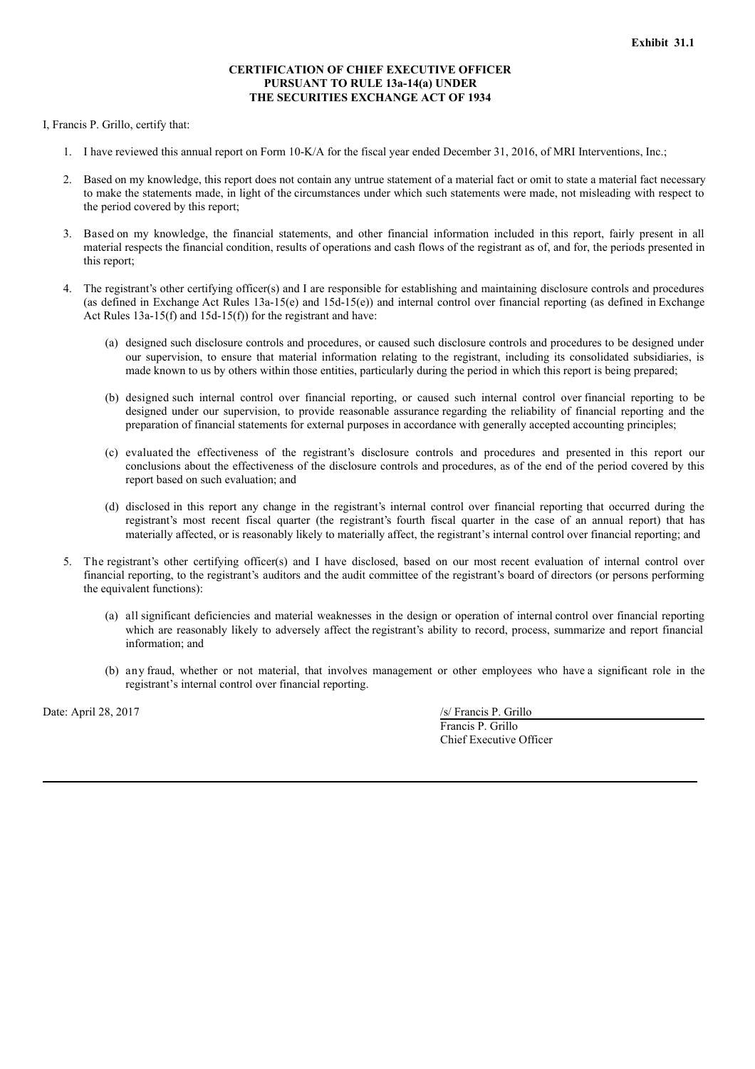# **CERTIFICATION OF CHIEF EXECUTIVE OFFICER PURSUANT TO RULE 13a-14(a) UNDER THE SECURITIES EXCHANGE ACT OF 1934**

I, Francis P. Grillo, certify that:

- 1. I have reviewed this annual report on Form 10-K/A for the fiscal year ended December 31, 2016, of MRI Interventions, Inc.;
- 2. Based on my knowledge, this report does not contain any untrue statement of a material fact or omit to state a material fact necessary to make the statements made, in light of the circumstances under which such statements were made, not misleading with respect to the period covered by this report;
- 3. Based on my knowledge, the financial statements, and other financial information included in this report, fairly present in all material respects the financial condition, results of operations and cash flows of the registrant as of, and for, the periods presented in this report;
- 4. The registrant's other certifying officer(s) and I are responsible for establishing and maintaining disclosure controls and procedures (as defined in Exchange Act Rules 13a-15(e) and 15d-15(e)) and internal control over financial reporting (as defined in Exchange Act Rules 13a-15(f) and 15d-15(f)) for the registrant and have:
	- (a) designed such disclosure controls and procedures, or caused such disclosure controls and procedures to be designed under our supervision, to ensure that material information relating to the registrant, including its consolidated subsidiaries, is made known to us by others within those entities, particularly during the period in which this report is being prepared;
	- (b) designed such internal control over financial reporting, or caused such internal control over financial reporting to be designed under our supervision, to provide reasonable assurance regarding the reliability of financial reporting and the preparation of financial statements for external purposes in accordance with generally accepted accounting principles;
	- (c) evaluated the effectiveness of the registrant's disclosure controls and procedures and presented in this report our conclusions about the effectiveness of the disclosure controls and procedures, as of the end of the period covered by this report based on such evaluation; and
	- (d) disclosed in this report any change in the registrant's internal control over financial reporting that occurred during the registrant's most recent fiscal quarter (the registrant's fourth fiscal quarter in the case of an annual report) that has materially affected, or is reasonably likely to materially affect, the registrant's internal control over financial reporting; and
- 5. The registrant's other certifying officer(s) and I have disclosed, based on our most recent evaluation of internal control over financial reporting, to the registrant's auditors and the audit committee of the registrant's board of directors (or persons performing the equivalent functions):
	- (a) all significant deficiencies and material weaknesses in the design or operation of internal control over financial reporting which are reasonably likely to adversely affect the registrant's ability to record, process, summarize and report financial information; and
	- (b) any fraud, whether or not material, that involves management or other employees who have a significant role in the registrant's internal control over financial reporting.

Date: April 28, 2017 /s/ Francis P. Grillo

Francis P. Grillo

Chief Executive Officer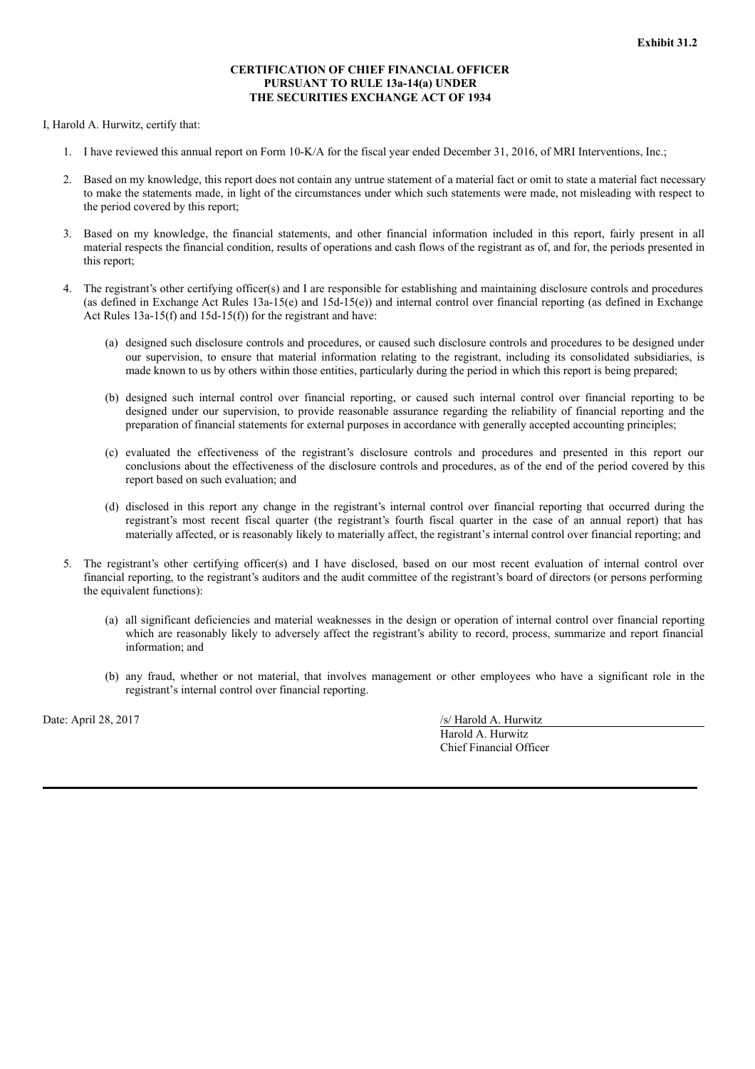### **CERTIFICATION OF CHIEF FINANCIAL OFFICER PURSUANT TO RULE 13a-14(a) UNDER THE SECURITIES EXCHANGE ACT OF 1934**

I, Harold A. Hurwitz, certify that:

- 1. I have reviewed this annual report on Form 10-K/A for the fiscal year ended December 31, 2016, of MRI Interventions, Inc.;
- 2. Based on my knowledge, this report does not contain any untrue statement of a material fact or omit to state a material fact necessary to make the statements made, in light of the circumstances under which such statements were made, not misleading with respect to the period covered by this report;
- 3. Based on my knowledge, the financial statements, and other financial information included in this report, fairly present in all material respects the financial condition, results of operations and cash flows of the registrant as of, and for, the periods presented in this report;
- 4. The registrant's other certifying officer(s) and I are responsible for establishing and maintaining disclosure controls and procedures (as defined in Exchange Act Rules 13a-15(e) and 15d-15(e)) and internal control over financial reporting (as defined in Exchange Act Rules 13a-15(f) and 15d-15(f)) for the registrant and have:
	- (a) designed such disclosure controls and procedures, or caused such disclosure controls and procedures to be designed under our supervision, to ensure that material information relating to the registrant, including its consolidated subsidiaries, is made known to us by others within those entities, particularly during the period in which this report is being prepared;
	- (b) designed such internal control over financial reporting, or caused such internal control over financial reporting to be designed under our supervision, to provide reasonable assurance regarding the reliability of financial reporting and the preparation of financial statements for external purposes in accordance with generally accepted accounting principles;
	- (c) evaluated the effectiveness of the registrant's disclosure controls and procedures and presented in this report our conclusions about the effectiveness of the disclosure controls and procedures, as of the end of the period covered by this report based on such evaluation; and
	- (d) disclosed in this report any change in the registrant's internal control over financial reporting that occurred during the registrant's most recent fiscal quarter (the registrant's fourth fiscal quarter in the case of an annual report) that has materially affected, or is reasonably likely to materially affect, the registrant's internal control over financial reporting; and
- 5. The registrant's other certifying officer(s) and I have disclosed, based on our most recent evaluation of internal control over financial reporting, to the registrant's auditors and the audit committee of the registrant's board of directors (or persons performing the equivalent functions):
	- (a) all significant deficiencies and material weaknesses in the design or operation of internal control over financial reporting which are reasonably likely to adversely affect the registrant's ability to record, process, summarize and report financial information; and
	- (b) any fraud, whether or not material, that involves management or other employees who have a significant role in the registrant's internal control over financial reporting.

Date: April 28, 2017 /s/ Harold A. Hurwitz

Harold A. Hurwitz Chief Financial Officer